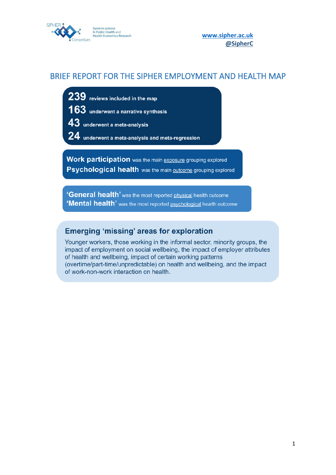

**[www.sipher.ac.uk](http://www.sipher.ac.uk/) [@SipherC](https://twitter.com/sipherc?lang=en-GB)**

# <span id="page-0-0"></span>BRIEF REPORT FOR THE SIPHER EMPLOYMENT AND HEALTH MAP

- 239 reviews included in the map
- 163 underwent a narrative synthesis
- 43 underwent a meta-analysis
- ${\bf 24}$  underwent a meta-analysis and meta-regression

**Work participation** was the main exposure grouping explored **Psychological health** was the main outcome grouping explored

'General health' was the most reported physical health outcome 'Mental health' was the most reported psychological health outcome

# **Emerging 'missing' areas for exploration**

Younger workers, those working in the informal sector, minority groups, the impact of employment on social wellbeing, the impact of employer attributes of health and wellbeing, impact of certain working patterns (overtime/part-time/unpredictable) on health and wellbeing, and the impact of work-non-work interaction on health.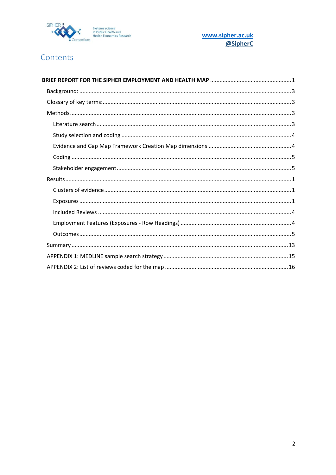

www.sipher.ac.uk @SipherC

# Contents

| BRIEF REPORT FOR THE SIPHER EMPLOYMENT AND HEALTH MAP …………………………………………………………………… |  |  |
|----------------------------------------------------------------------------------|--|--|
|                                                                                  |  |  |
|                                                                                  |  |  |
|                                                                                  |  |  |
|                                                                                  |  |  |
|                                                                                  |  |  |
|                                                                                  |  |  |
|                                                                                  |  |  |
|                                                                                  |  |  |
|                                                                                  |  |  |
|                                                                                  |  |  |
|                                                                                  |  |  |
|                                                                                  |  |  |
|                                                                                  |  |  |
|                                                                                  |  |  |
|                                                                                  |  |  |
|                                                                                  |  |  |
|                                                                                  |  |  |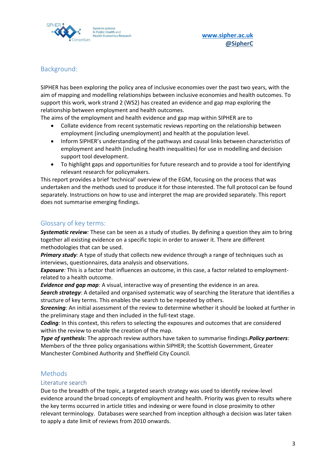

# <span id="page-2-0"></span>Background:

SIPHER has been exploring the policy area of inclusive economies over the past two years, with the aim of mapping and modelling relationships between inclusive economies and health outcomes. To support this work, work strand 2 (WS2) has created an evidence and gap map exploring the relationship between employment and health outcomes.

The aims of the employment and health evidence and gap map within SIPHER are to

- Collate evidence from recent systematic reviews reporting on the relationship between employment (including unemployment) and health at the population level.
- Inform SIPHER's understanding of the pathways and causal links between characteristics of employment and health (including health inequalities) for use in modelling and decision support tool development.
- To highlight gaps and opportunities for future research and to provide a tool for identifying relevant research for policymakers.

This report provides a brief 'technical' overview of the EGM, focusing on the process that was undertaken and the methods used to produce it for those interested. The full protocol can be found separately. Instructions on how to use and interpret the map are provided separately. This report does not summarise emerging findings.

# <span id="page-2-1"></span>Glossary of key terms:

*Systematic review:* These can be seen as a study of studies. By defining a question they aim to bring together all existing evidence on a specific topic in order to answer it. There are different methodologies that can be used.

*Primary study*: A type of study that collects new evidence through a range of techniques such as interviews, questionnaires, data analysis and observations.

*Exposure:* This is a factor that influences an outcome, in this case, a factor related to employmentrelated to a health outcome.

*Evidence and gap map:* A visual, interactive way of presenting the evidence in an area.

*Search strategy*: A detailed and organised systematic way of searching the literature that identifies a structure of key terms. This enables the search to be repeated by others.

*Screening:* An initial assessment of the review to determine whether it should be looked at further in the preliminary stage and then included in the full-text stage.

**Coding**: In this context, this refers to selecting the exposures and outcomes that are considered within the review to enable the creation of the map.

*Type of synthesis:* The approach review authors have taken to summarise findings.*Policy partners*: Members of the three policy organisations within SIPHER; the Scottish Government, Greater Manchester Combined Authority and Sheffield City Council.

# <span id="page-2-2"></span>Methods

### <span id="page-2-3"></span>Literature search

Due to the breadth of the topic, a targeted search strategy was used to identify review-level evidence around the broad concepts of employment and health. Priority was given to results where the key terms occurred in article titles and indexing or were found in close proximity to other relevant terminology. Databases were searched from inception although a decision was later taken to apply a date limit of reviews from 2010 onwards.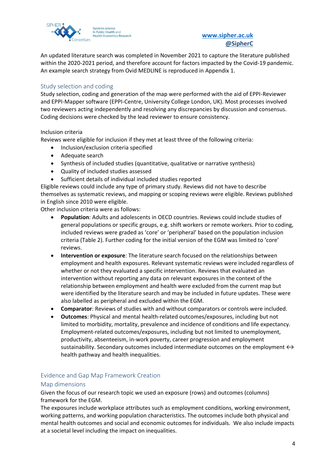

An updated literature search was completed in November 2021 to capture the literature published within the 2020-2021 period, and therefore account for factors impacted by the Covid-19 pandemic. An example search strategy from Ovid MEDLINE is reproduced in Appendix 1.

# <span id="page-3-0"></span>Study selection and coding

Study selection, coding and generation of the map were performed with the aid of EPPI-Reviewer and EPPI-Mapper software (EPPI-Centre, University College London, UK). Most processes involved two reviewers acting independently and resolving any discrepancies by discussion and consensus. Coding decisions were checked by the lead reviewer to ensure consistency.

### Inclusion criteria

Reviews were eligible for inclusion if they met at least three of the following criteria:

- Inclusion/exclusion criteria specified
- Adequate search
- Synthesis of included studies (quantitative, qualitative or narrative synthesis)
- Quality of included studies assessed
- Sufficient details of individual included studies reported

Eligible reviews could include any type of primary study. Reviews did not have to describe themselves as systematic reviews, and mapping or scoping reviews were eligible. Reviews published in English since 2010 were eligible.

Other inclusion criteria were as follows:

- **Population**: Adults and adolescents in OECD countries. Reviews could include studies of general populations or specific groups, e.g. shift workers or remote workers. Prior to coding, included reviews were graded as 'core' or 'peripheral' based on the population inclusion criteria (Table 2). Further coding for the initial version of the EGM was limited to 'core' reviews.
- **Intervention or exposure**: The literature search focused on the relationships between employment and health exposures. Relevant systematic reviews were included regardless of whether or not they evaluated a specific intervention. Reviews that evaluated an intervention without reporting any data on relevant exposures in the context of the relationship between employment and health were excluded from the current map but were identified by the literature search and may be included in future updates. These were also labelled as peripheral and excluded within the EGM.
- **Comparator**: Reviews of studies with and without comparators or controls were included.
- **Outcomes**: Physical and mental health-related outcomes/exposures, including but not limited to morbidity, mortality, prevalence and incidence of conditions and life expectancy. Employment-related outcomes/exposures, including but not limited to unemployment, productivity, absenteeism, in-work poverty, career progression and employment sustainability. Secondary outcomes included intermediate outcomes on the employment  $\leftrightarrow$ health pathway and health inequalities.

### <span id="page-3-1"></span>Evidence and Gap Map Framework Creation

#### Map dimensions

Given the focus of our research topic we used an exposure (rows) and outcomes (columns) framework for the EGM.

The exposures include workplace attributes such as employment conditions, working environment, working patterns, and working population characteristics. The outcomes include both physical and mental health outcomes and social and economic outcomes for individuals. We also include impacts at a societal level including the impact on inequalities.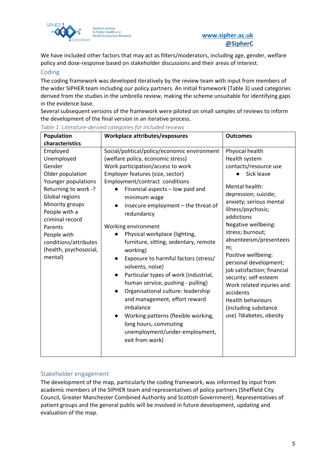

We have included other factors that may act as filters/moderators, including age, gender, welfare policy and dose-response based on stakeholder discussions and their areas of interest.

### <span id="page-4-0"></span>Coding

The coding framework was developed iteratively by the review team with input from members of the wider SIPHER team including our policy partners. An initial framework (Table 3) used categories derived from the studies in the umbrella review, making the scheme unsuitable for identifying gaps in the evidence base.

Several subsequent versions of the framework were piloted on small samples of reviews to inform the development of the final version in an iterative process.

| Population                                                                                                                                                                                                                                                           | Workplace attributes/exposures                                                                                                                                                                                                                                                                                                                                                                                                                                                                                                                                                                                                                                                                                                                                                                                                         | <b>Outcomes</b>                                                                                                                                                                                                                                                                                                                                                                                                                                                                               |
|----------------------------------------------------------------------------------------------------------------------------------------------------------------------------------------------------------------------------------------------------------------------|----------------------------------------------------------------------------------------------------------------------------------------------------------------------------------------------------------------------------------------------------------------------------------------------------------------------------------------------------------------------------------------------------------------------------------------------------------------------------------------------------------------------------------------------------------------------------------------------------------------------------------------------------------------------------------------------------------------------------------------------------------------------------------------------------------------------------------------|-----------------------------------------------------------------------------------------------------------------------------------------------------------------------------------------------------------------------------------------------------------------------------------------------------------------------------------------------------------------------------------------------------------------------------------------------------------------------------------------------|
| characteristics                                                                                                                                                                                                                                                      |                                                                                                                                                                                                                                                                                                                                                                                                                                                                                                                                                                                                                                                                                                                                                                                                                                        |                                                                                                                                                                                                                                                                                                                                                                                                                                                                                               |
| Employed<br>Unemployed<br>Gender<br>Older population<br>Younger populations<br>Returning to work -?<br>Global regions<br>Minority groups<br>People with a<br>criminal record<br>Parents<br>People with<br>conditions/attributes<br>(health, psychosocial,<br>mental) | Social/political/policy/economic environment<br>(welfare policy, economic stress)<br>Work participation/access to work<br>Employer features (size, sector)<br>Employment/contract conditions<br>Financial aspects - low paid and<br>minimum wage<br>Insecure employment - the threat of<br>redundancy<br>Working environment<br>Physical workplace (lighting,<br>$\bullet$<br>furniture, sitting, sedentary, remote<br>working)<br>Exposure to harmful factors (stress/<br>$\bullet$<br>solvents, noise)<br>Particular types of work (industrial,<br>$\bullet$<br>human service, pushing - pulling)<br>Organisational culture: leadership<br>$\bullet$<br>and management, effort reward<br>imbalance<br>Working patterns (flexible working,<br>$\bullet$<br>long hours, commuting<br>unemployment/under-employment,<br>exit from work) | Physical health<br>Health system<br>contacts/resource use<br>Sick leave<br>Mental health:<br>depression; suicide;<br>anxiety; serious mental<br>illness/psychosis;<br>addictions<br>Negative wellbeing:<br>stress; burnout;<br>absenteeism/presenteeis<br>m;<br>Positive wellbeing:<br>personal development;<br>job satisfaction; financial<br>security; self-esteem<br>Work related injuries and<br>accidents<br><b>Health behaviours</b><br>(including substance<br>use) ?diabetes, obesity |

*Table 1: Literature-derived categories for included reviews*

### <span id="page-4-1"></span>Stakeholder engagement

The development of the map, particularly the coding framework, was informed by input from academic members of the SIPHER team and representatives of policy partners (Sheffield City Council, Greater Manchester Combined Authority and Scottish Government). Representatives of patient groups and the general public will be involved in future development, updating and evaluation of the map.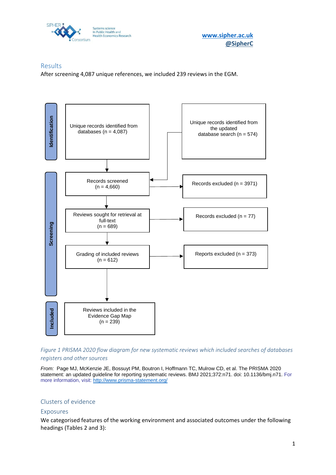

**[www.sipher.ac.uk](http://www.sipher.ac.uk/)**

# <span id="page-5-0"></span>Results

After screening 4,087 unique references, we included 239 reviews in the EGM.



*Figure 1 PRISMA 2020 flow diagram for new systematic reviews which included searches of databases registers and other sources*

*From:* Page MJ, McKenzie JE, Bossuyt PM, Boutron I, Hoffmann TC, Mulrow CD, et al. The PRISMA 2020 statement: an updated guideline for reporting systematic reviews. BMJ 2021;372:n71. doi: 10.1136/bmj.n71. For more information, visit: <http://www.prisma-statement.org/>

### <span id="page-5-1"></span>Clusters of evidence

#### <span id="page-5-2"></span>Exposures

We categorised features of the working environment and associated outcomes under the following headings (Tables 2 and 3):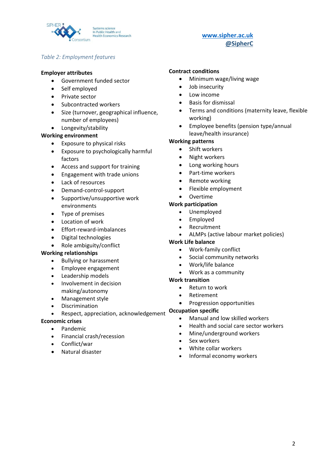

### *Table 2: Employment features*

#### **Employer attributes**

- Government funded sector
- Self employed
- Private sector
- Subcontracted workers
- Size (turnover, geographical influence, number of employees)
- Longevity/stability

#### **Working environment**

- Exposure to physical risks
- Exposure to psychologically harmful factors
- Access and support for training
- Engagement with trade unions
- Lack of resources
- Demand-control-support
- Supportive/unsupportive work environments
- Type of premises
- Location of work
- Effort-reward-imbalances
- Digital technologies
- Role ambiguity/conflict

#### **Working relationships**

- Bullying or harassment
- Employee engagement
- Leadership models
- Involvement in decision making/autonomy
- Management style
- Discrimination
- Respect, appreciation, acknowledgement

### **Economic crises**

- Pandemic
- Financial crash/recession
- Conflict/war
- Natural disaster

### **Contract conditions**

- Minimum wage/living wage
- Job insecurity
- Low income
- Basis for dismissal
- Terms and conditions (maternity leave, flexible working)
- Employee benefits (pension type/annual leave/health insurance)

### **Working patterns**

- Shift workers
- Night workers
- Long working hours
- Part-time workers
- Remote working
- Flexible employment
- Overtime

#### **Work participation**

- Unemployed
- **Employed**
- Recruitment
- ALMPs (active labour market policies)

#### **Work Life balance**

- Work-family conflict
- Social community networks
- Work/life balance
- Work as a community

#### **Work transition**

- Return to work
- **Retirement** 
	- Progression opportunities

#### **Occupation specific**

- Manual and low skilled workers
- Health and social care sector workers
- Mine/underground workers
- Sex workers
- White collar workers
- Informal economy workers

# **[www.sipher.ac.uk](http://www.sipher.ac.uk/) [@SipherC](https://twitter.com/sipherc?lang=en-GB)**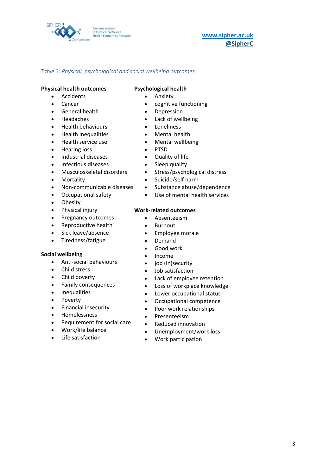

## **[www.sipher.ac.uk](http://www.sipher.ac.uk/) [@SipherC](https://twitter.com/sipherc?lang=en-GB)**

### *Table 3: Physical, psychological and social wellbeing outcomes*

#### **Physical health outcomes**

- Accidents
- Cancer
- General health
- Headaches
- Health behaviours
- Health inequalities
- Health service use
- Hearing loss
- Industrial diseases
- Infectious diseases
- Musculoskeletal disorders
- Mortality
- Non-communicable diseases
- Occupational safety
- Obesity
- Physical injury
- Pregnancy outcomes
- Reproductive health
- Sick leave/absence
- Tiredness/fatigue

#### **Social wellbeing**

- Anti-social behaviours
- Child stress
- Child poverty
- Family consequences
- Inequalities
- Poverty
- Financial insecurity
- Homelessness
- Requirement for social care
- Work/life balance
- Life satisfaction

#### **Psychological health**

- **Anxiety**
- cognitive functioning
- Depression
- Lack of wellbeing
- **Loneliness**
- Mental health
- Mental wellbeing
- PTSD
- Quality of life
- Sleep quality
- Stress/psychological distress
- Suicide/self harm
- Substance abuse/dependence
- Use of mental health services

#### **Work-related outcomes**

- Absenteeism
- Burnout
- Employee morale
- Demand
- Good work
- Income
- job (in)security
- Job satisfaction
- Lack of employee retention
- Loss of workplace knowledge
- Lower occupational status
- Occupational competence
- Poor work relationships
- Presenteeism
- Reduced innovation
- Unemployment/work loss
- Work participation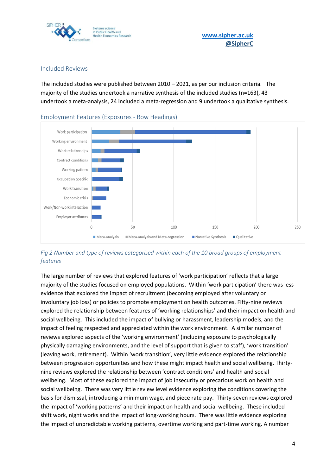

### <span id="page-8-0"></span>Included Reviews

The included studies were published between  $2010 - 2021$ , as per our inclusion criteria. The majority of the studies undertook a narrative synthesis of the included studies (n=163), 43 undertook a meta-analysis, 24 included a meta-regression and 9 undertook a qualitative synthesis.



<span id="page-8-1"></span>Employment Features (Exposures - Row Headings)

*Fig 2 Number and type of reviews categorised within each of the 10 broad groups of employment features*

The large number of reviews that explored features of 'work participation' reflects that a large majority of the studies focused on employed populations. Within 'work participation' there was less evidence that explored the impact of recruitment (becoming employed after voluntary or involuntary job loss) or policies to promote employment on health outcomes. Fifty-nine reviews explored the relationship between features of 'working relationships' and their impact on health and social wellbeing. This included the impact of bullying or harassment, leadership models, and the impact of feeling respected and appreciated within the work environment. A similar number of reviews explored aspects of the 'working environment' (including exposure to psychologically physically damaging environments, and the level of support that is given to staff), 'work transition' (leaving work, retirement). Within 'work transition', very little evidence explored the relationship between progression opportunities and how these might impact health and social wellbeing. Thirtynine reviews explored the relationship between 'contract conditions' and health and social wellbeing. Most of these explored the impact of job insecurity or precarious work on health and social wellbeing. There was very little review level evidence exploring the conditions covering the basis for dismissal, introducing a minimum wage, and piece rate pay. Thirty-seven reviews explored the impact of 'working patterns' and their impact on health and social wellbeing. These included shift work, night works and the impact of long-working hours. There was little evidence exploring the impact of unpredictable working patterns, overtime working and part-time working. A number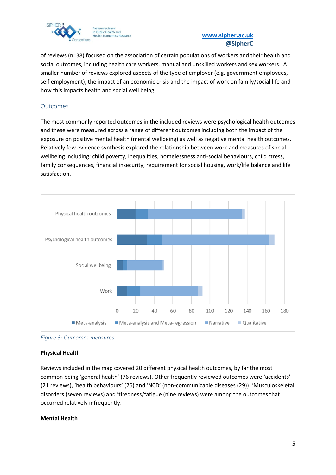

of reviews (n=38) focused on the association of certain populations of workers and their health and social outcomes, including health care workers, manual and unskilled workers and sex workers. A smaller number of reviews explored aspects of the type of employer (e.g. government employees, self employment), the impact of an economic crisis and the impact of work on family/social life and how this impacts health and social well being.

### <span id="page-9-0"></span>**Outcomes**

The most commonly reported outcomes in the included reviews were psychological health outcomes and these were measured across a range of different outcomes including both the impact of the exposure on positive mental health (mental wellbeing) as well as negative mental health outcomes. Relatively few evidence synthesis explored the relationship between work and measures of social wellbeing including; child poverty, inequalities, homelessness anti-social behaviours, child stress, family consequences, financial insecurity, requirement for social housing, work/life balance and life satisfaction.



*Figure 3: Outcomes measures*

### **Physical Health**

Reviews included in the map covered 20 different physical health outcomes, by far the most common being 'general health' (76 reviews). Other frequently reviewed outcomes were 'accidents' (21 reviews), 'health behaviours' (26) and 'NCD' (non-communicable diseases (29)). 'Musculoskeletal disorders (seven reviews) and 'tiredness/fatigue (nine reviews) were among the outcomes that occurred relatively infrequently.

### **Mental Health**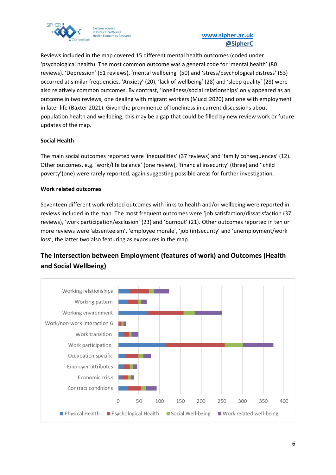

Reviews included in the map covered 15 different mental health outcomes (coded under 'psychological health). The most common outcome was a general code for 'mental health' (80 reviews). 'Depression' (51 reviews), 'mental wellbeing' (50) and 'stress/psychological distress' (53) occurred at similar frequencies. 'Anxiety' (20), 'lack of wellbeing' (28) and 'sleep quality' (28) were also relatively common outcomes. By contrast, 'loneliness/social relationships' only appeared as an outcome in two reviews, one dealing with migrant workers (Mucci 2020) and one with employment in later life (Baxter 2021). Given the prominence of loneliness in current discussions about population health and wellbeing, this may be a gap that could be filled by new review work or future updates of the map.

### **Social Health**

The main social outcomes reported were 'inequalities' (37 reviews) and 'family consequences' (12). Other outcomes, e.g. 'work/life balance' (one review), 'financial insecurity' (three) and ''child poverty'(one) were rarely reported, again suggesting possible areas for further investigation.

### **Work related outcomes**

Seventeen different work-related outcomes with links to health and/or wellbeing were reported in reviews included in the map. The most frequent outcomes were 'job satisfaction/dissatisfaction (37 reviews), 'work participation/exclusion' (23) and 'burnout' (21). Other outcomes reported in ten or more reviews were 'absenteeism', 'employee morale', 'job (in)security' and 'unemployment/work loss', the latter two also featuring as exposures in the map.

# **The Intersection between Employment (features of work) and Outcomes (Health and Social Wellbeing)**

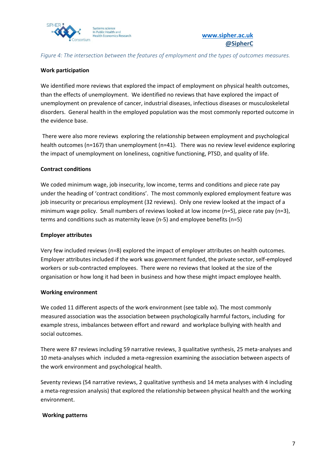

### *Figure 4: The intersection between the features of employment and the types of outcomes measures.*

### **Work participation**

We identified more reviews that explored the impact of employment on physical health outcomes, than the effects of unemployment. We identified no reviews that have explored the impact of unemployment on prevalence of cancer, industrial diseases, infectious diseases or musculoskeletal disorders. General health in the employed population was the most commonly reported outcome in the evidence base.

There were also more reviews exploring the relationship between employment and psychological health outcomes (n=167) than unemployment (n=41). There was no review level evidence exploring the impact of unemployment on loneliness, cognitive functioning, PTSD, and quality of life.

#### **Contract conditions**

We coded minimum wage, job insecurity, low income, terms and conditions and piece rate pay under the heading of 'contract conditions'. The most commonly explored employment feature was job insecurity or precarious employment (32 reviews). Only one review looked at the impact of a minimum wage policy. Small numbers of reviews looked at low income (n=5), piece rate pay (n=3), terms and conditions such as maternity leave (n-5) and employee benefits (n=5)

#### **Employer attributes**

Very few included reviews (n=8) explored the impact of employer attributes on health outcomes. Employer attributes included if the work was government funded, the private sector, self-employed workers or sub-contracted employees. There were no reviews that looked at the size of the organisation or how long it had been in business and how these might impact employee health.

#### **Working environment**

We coded 11 different aspects of the work environment (see table xx). The most commonly measured association was the association between psychologically harmful factors, including for example stress, imbalances between effort and reward and workplace bullying with health and social outcomes.

There were 87 reviews including 59 narrative reviews, 3 qualitative synthesis, 25 meta-analyses and 10 meta-analyses which included a meta-regression examining the association between aspects of the work environment and psychological health.

Seventy reviews (54 narrative reviews, 2 qualitative synthesis and 14 meta analyses with 4 including a meta-regression analysis) that explored the relationship between physical health and the working environment.

#### **Working patterns**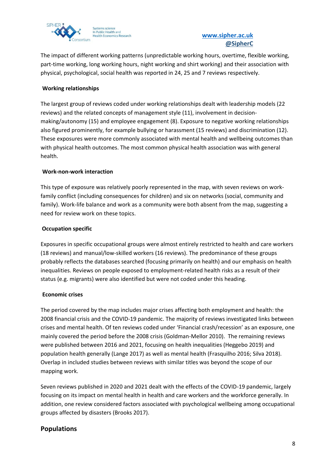

The impact of different working patterns (unpredictable working hours, overtime, flexible working, part-time working, long working hours, night working and shirt working) and their association with physical, psychological, social health was reported in 24, 25 and 7 reviews respectively.

## **Working relationships**

The largest group of reviews coded under working relationships dealt with leadership models (22 reviews) and the related concepts of management style (11), involvement in decisionmaking/autonomy (15) and employee engagement (8). Exposure to negative working relationships also figured prominently, for example bullying or harassment (15 reviews) and discrimination (12). These exposures were more commonly associated with mental health and wellbeing outcomes than with physical health outcomes. The most common physical health association was with general health.

### **Work-non-work interaction**

This type of exposure was relatively poorly represented in the map, with seven reviews on workfamily conflict (including consequences for children) and six on networks (social, community and family). Work-life balance and work as a community were both absent from the map, suggesting a need for review work on these topics.

## **Occupation specific**

Exposures in specific occupational groups were almost entirely restricted to health and care workers (18 reviews) and manual/low-skilled workers (16 reviews). The predominance of these groups probably reflects the databases searched (focusing primarily on health) and our emphasis on health inequalities. Reviews on people exposed to employment-related health risks as a result of their status (e.g. migrants) were also identified but were not coded under this heading.

### **Economic crises**

The period covered by the map includes major crises affecting both employment and health: the 2008 financial crisis and the COVID-19 pandemic. The majority of reviews investigated links between crises and mental health. Of ten reviews coded under 'Financial crash/recession' as an exposure, one mainly covered the period before the 2008 crisis (Goldman-Mellor 2010). The remaining reviews were published between 2016 and 2021, focusing on health inequalities (Heggebo 2019) and population health generally (Lange 2017) as well as mental health (Frasquilho 2016; Silva 2018). Overlap in included studies between reviews with similar titles was beyond the scope of our mapping work.

Seven reviews published in 2020 and 2021 dealt with the effects of the COVID-19 pandemic, largely focusing on its impact on mental health in health and care workers and the workforce generally. In addition, one review considered factors associated with psychological wellbeing among occupational groups affected by disasters (Brooks 2017).

# **Populations**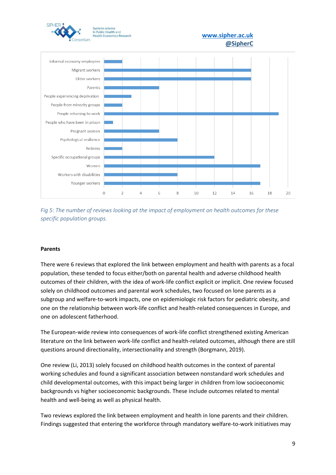



#### **Parents**

There were 6 reviews that explored the link between employment and health with parents as a focal population, these tended to focus either/both on parental health and adverse childhood health outcomes of their children, with the idea of work-life conflict explicit or implicit. One review focused solely on childhood outcomes and parental work schedules, two focused on lone parents as a subgroup and welfare-to-work impacts, one on epidemiologic risk factors for pediatric obesity, and one on the relationship between work-life conflict and health-related consequences in Europe, and one on adolescent fatherhood.

The European-wide review into consequences of work-life conflict strengthened existing American literature on the link between work-life conflict and health-related outcomes, although there are still questions around directionality, intersectionality and strength (Borgmann, 2019).

One review (Li, 2013) solely focused on childhood health outcomes in the context of parental working schedules and found a significant association between nonstandard work schedules and child developmental outcomes, with this impact being larger in children from low socioeconomic backgrounds vs higher socioeconomic backgrounds. These include outcomes related to mental health and well-being as well as physical health.

Two reviews explored the link between employment and health in lone parents and their children. Findings suggested that entering the workforce through mandatory welfare-to-work initiatives may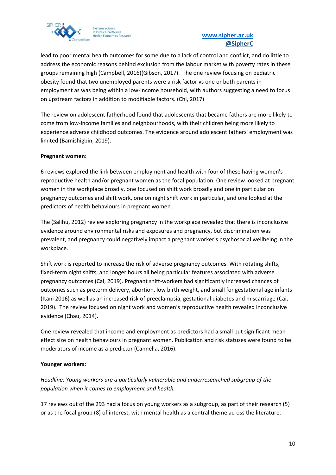

lead to poor mental health outcomes for some due to a lack of control and conflict, and do little to address the economic reasons behind exclusion from the labour market with poverty rates in these groups remaining high (Campbell, 2016)(Gibson, 2017). The one review focusing on pediatric obesity found that two unemployed parents were a risk factor vs one or both parents in employment as was being within a low-income household, with authors suggesting a need to focus on upstream factors in addition to modifiable factors. (Chi, 2017)

The review on adolescent fatherhood found that adolescents that became fathers are more likely to come from low-income families and neighbourhoods, with their children being more likely to experience adverse childhood outcomes. The evidence around adolescent fathers' employment was limited (Bamishigbin, 2019).

### **Pregnant women:**

6 reviews explored the link between employment and health with four of these having women's reproductive health and/or pregnant women as the focal population. One review looked at pregnant women in the workplace broadly, one focused on shift work broadly and one in particular on pregnancy outcomes and shift work, one on night shift work in particular, and one looked at the predictors of health behaviours in pregnant women.

The (Salihu, 2012) review exploring pregnancy in the workplace revealed that there is inconclusive evidence around environmental risks and exposures and pregnancy, but discrimination was prevalent, and pregnancy could negatively impact a pregnant worker's psychosocial wellbeing in the workplace.

Shift work is reported to increase the risk of adverse pregnancy outcomes. With rotating shifts, fixed-term night shifts, and longer hours all being particular features associated with adverse pregnancy outcomes (Cai, 2019). Pregnant shift-workers had significantly increased chances of outcomes such as preterm delivery, abortion, low birth weight, and small for gestational age infants (Itani 2016) as well as an increased risk of preeclampsia, gestational diabetes and miscarriage (Cai, 2019). The review focused on night work and women's reproductive health revealed inconclusive evidence (Chau, 2014).

One review revealed that income and employment as predictors had a small but significant mean effect size on health behaviours in pregnant women. Publication and risk statuses were found to be moderators of income as a predictor (Cannella, 2016).

#### **Younger workers:**

*Headline: Young workers are a particularly vulnerable and underresearched subgroup of the population when it comes to employment and health.* 

17 reviews out of the 293 had a focus on young workers as a subgroup, as part of their research (5) or as the focal group (8) of interest, with mental health as a central theme across the literature.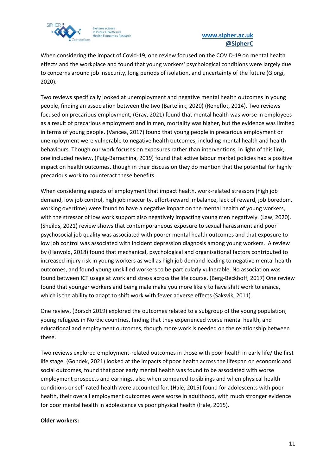

When considering the impact of Covid-19, one review focused on the COVID-19 on mental health effects and the workplace and found that young workers' psychological conditions were largely due to concerns around job insecurity, long periods of isolation, and uncertainty of the future (Giorgi, 2020).

Two reviews specifically looked at unemployment and negative mental health outcomes in young people, finding an association between the two (Bartelink, 2020) (Reneflot, 2014). Two reviews focused on precarious employment, (Gray, 2021) found that mental health was worse in employees as a result of precarious employment and in men, mortality was higher, but the evidence was limited in terms of young people. (Vancea, 2017) found that young people in precarious employment or unemployment were vulnerable to negative health outcomes, including mental health and health behaviours. Though our work focuses on exposures rather than interventions, in light of this link, one included review, (Puig-Barrachina, 2019) found that active labour market policies had a positive impact on health outcomes, though in their discussion they do mention that the potential for highly precarious work to counteract these benefits.

When considering aspects of employment that impact health, work-related stressors (high job demand, low job control, high job insecurity, effort-reward imbalance, lack of reward, job boredom, working overtime) were found to have a negative impact on the mental health of young workers, with the stressor of low work support also negatively impacting young men negatively. (Law, 2020). (Sheilds, 2021) review shows that contemporaneous exposure to sexual harassment and poor psychosocial job quality was associated with poorer mental health outcomes and that exposure to low job control was associated with incident depression diagnosis among young workers. A review by (Hanvold, 2018) found that mechanical, psychological and organisational factors contributed to increased injury risk in young workers as well as high job demand leading to negative mental health outcomes, and found young unskilled workers to be particularly vulnerable. No association was found between ICT usage at work and stress across the life course. (Berg-Beckhoff, 2017) One review found that younger workers and being male make you more likely to have shift work tolerance, which is the ability to adapt to shift work with fewer adverse effects (Saksvik, 2011).

One review, (Borsch 2019) explored the outcomes related to a subgroup of the young population, young refugees in Nordic countries, finding that they experienced worse mental health, and educational and employment outcomes, though more work is needed on the relationship between these.

Two reviews explored employment-related outcomes in those with poor health in early life/ the first life stage. (Gondek, 2021) looked at the impacts of poor health across the lifespan on economic and social outcomes, found that poor early mental health was found to be associated with worse employment prospects and earnings, also when compared to siblings and when physical health conditions or self-rated health were accounted for. (Hale, 2015) found for adolescents with poor health, their overall employment outcomes were worse in adulthood, with much stronger evidence for poor mental health in adolescence vs poor physical health (Hale, 2015).

#### **Older workers:**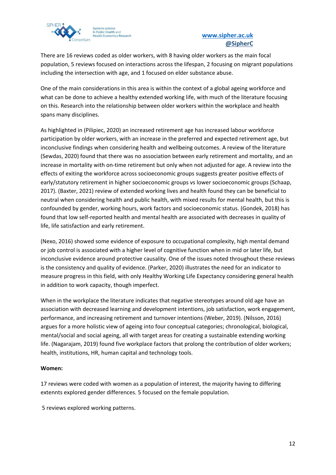

## **[www.sipher.ac.uk](http://www.sipher.ac.uk/) [@SipherC](https://twitter.com/sipherc?lang=en-GB)**

There are 16 reviews coded as older workers, with 8 having older workers as the main focal population, 5 reviews focused on interactions across the lifespan, 2 focusing on migrant populations including the intersection with age, and 1 focused on elder substance abuse.

One of the main considerations in this area is within the context of a global ageing workforce and what can be done to achieve a healthy extended working life, with much of the literature focusing on this. Research into the relationship between older workers within the workplace and health spans many disciplines.

As highlighted in (Pilipiec, 2020) an increased retirement age has increased labour workforce participation by older workers, with an increase in the preferred and expected retirement age, but inconclusive findings when considering health and wellbeing outcomes. A review of the literature (Sewdas, 2020) found that there was no association between early retirement and mortality, and an increase in mortality with on-time retirement but only when not adjusted for age. A review into the effects of exiting the workforce across socioeconomic groups suggests greater positive effects of early/statutory retirement in higher socioeconomic groups vs lower socioeconomic groups (Schaap, 2017). (Baxter, 2021) review of extended working lives and health found they can be beneficial to neutral when considering health and public health, with mixed results for mental health, but this is confounded by gender, working hours, work factors and socioeconomic status. (Gondek, 2018) has found that low self-reported health and mental health are associated with decreases in quality of life, life satisfaction and early retirement.

(Nexo, 2016) showed some evidence of exposure to occupational complexity, high mental demand or job control is associated with a higher level of cognitive function when in mid or later life, but inconclusive evidence around protective causality. One of the issues noted throughout these reviews is the consistency and quality of evidence. (Parker, 2020) illustrates the need for an indicator to measure progress in this field, with only Healthy Working Life Expectancy considering general health in addition to work capacity, though imperfect.

When in the workplace the literature indicates that negative stereotypes around old age have an association with decreased learning and development intentions, job satisfaction, work engagement, performance, and increasing retirement and turnover intentions (Weber, 2019). (Nilsson, 2016) argues for a more holistic view of ageing into four conceptual categories; chronological, biological, mental/social and social ageing, all with target areas for creating a sustainable extending working life. (Nagarajam, 2019) found five workplace factors that prolong the contribution of older workers; health, institutions, HR, human capital and technology tools.

### **Women:**

17 reviews were coded with women as a population of interest, the majority having to differing extennts explored gender differences. 5 focused on the female population.

5 reviews explored working patterns.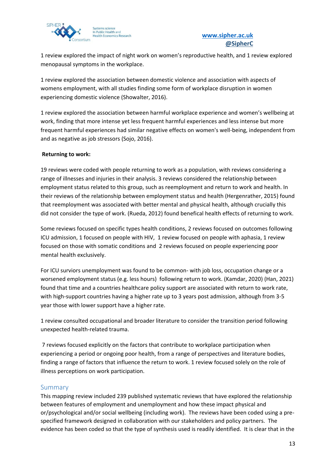

1 review explored the impact of night work on women's reproductive health, and 1 review explored menopausal symptoms in the workplace.

1 review explored the association between domestic violence and association with aspects of womens employment, with all studies finding some form of workplace disruption in women experiencing domestic violence (Showalter, 2016).

1 review explored the association between harmful workplace experience and women's wellbeing at work, finding that more intense yet less frequent harmful experiences and less intense but more frequent harmful experiences had similar negative effects on women's well-being, independent from and as negative as job stressors (Sojo, 2016).

### **Returning to work:**

19 reviews were coded with people returning to work as a population, with reviews considering a range of illnesses and injuries in their analysis. 3 reviews considered the relationship between employment status related to this group, such as reemployment and return to work and health. In their reviews of the relationship between employment status and health (Hergenrather, 2015) found that reemployment was associated with better mental and physical health, although crucially this did not consider the type of work. (Rueda, 2012) found benefical health effects of returning to work.

Some reviews focused on specific types health conditions, 2 reviews focused on outcomes following ICU admission, 1 focused on people with HIV, 1 review focused on people with aphasia, 1 review focused on those with somatic conditions and 2 reviews focused on people experiencing poor mental health exclusively.

For ICU surviors unemployment was found to be common- with job loss, occupation change or a worsened employment status (e.g. less hours) following return to work. (Kamdar, 2020) (Han, 2021) found that time and a countries healthcare policy support are associated with return to work rate, with high-support countries having a higher rate up to 3 years post admission, although from 3-5 year those with lower support have a higher rate.

1 review consulted occupational and broader literature to consider the transition period following unexpected health-related trauma.

7 reviews focused explicitly on the factors that contribute to workplace participation when experiencing a period or ongoing poor health, from a range of perspectives and literature bodies, finding a range of factors that influence the return to work. 1 review focused solely on the role of illness perceptions on work participation.

### <span id="page-17-0"></span>Summary

This mapping review included 239 published systematic reviews that have explored the relationship between features of employment and unemployment and how these impact physical and or/psychological and/or social wellbeing (including work). The reviews have been coded using a prespecified framework designed in collaboration with our stakeholders and policy partners. The evidence has been coded so that the type of synthesis used is readily identified. It is clear that in the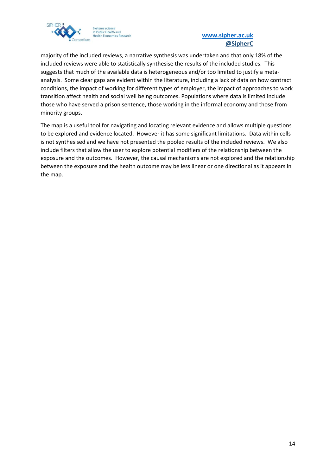

majority of the included reviews, a narrative synthesis was undertaken and that only 18% of the included reviews were able to statistically synthesise the results of the included studies. This suggests that much of the available data is heterogeneous and/or too limited to justify a metaanalysis. Some clear gaps are evident within the literature, including a lack of data on how contract conditions, the impact of working for different types of employer, the impact of approaches to work transition affect health and social well being outcomes. Populations where data is limited include those who have served a prison sentence, those working in the informal economy and those from minority groups.

The map is a useful tool for navigating and locating relevant evidence and allows multiple questions to be explored and evidence located. However it has some significant limitations. Data within cells is not synthesised and we have not presented the pooled results of the included reviews. We also include filters that allow the user to explore potential modifiers of the relationship between the exposure and the outcomes. However, the causal mechanisms are not explored and the relationship between the exposure and the health outcome may be less linear or one directional as it appears in the map.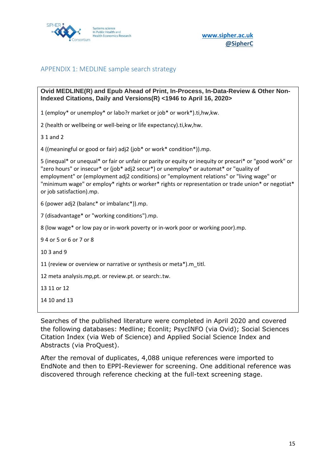

**[www.sipher.ac.uk](http://www.sipher.ac.uk/)**

# <span id="page-19-0"></span>APPENDIX 1: MEDLINE sample search strategy

**Ovid MEDLINE(R) and Epub Ahead of Print, In-Process, In-Data-Review & Other Non-Indexed Citations, Daily and Versions(R) <1946 to April 16, 2020>**

1 (employ\* or unemploy\* or labo?r market or job\* or work\*).ti,hw,kw.

2 (health or wellbeing or well-being or life expectancy).ti,kw,hw.

3 1 and 2

4 ((meaningful or good or fair) adj2 (job\* or work\* condition\*)).mp.

5 (inequal\* or unequal\* or fair or unfair or parity or equity or inequity or precari\* or "good work" or "zero hours" or insecur\* or (job\* adj2 secur\*) or unemploy\* or automat\* or "quality of employment" or (employment adj2 conditions) or "employment relations" or "living wage" or "minimum wage" or employ\* rights or worker\* rights or representation or trade union\* or negotiat\* or job satisfaction).mp.

6 (power adj2 (balanc\* or imbalanc\*)).mp.

7 (disadvantage\* or "working conditions").mp.

8 (low wage\* or low pay or in-work poverty or in-work poor or working poor).mp.

9 4 or 5 or 6 or 7 or 8

10 3 and 9

11 (review or overview or narrative or synthesis or meta\*).m\_titl.

12 meta analysis.mp,pt. or review.pt. or search:.tw.

13 11 or 12

14 10 and 13

Searches of the published literature were completed in April 2020 and covered the following databases: Medline; Econlit; PsycINFO (via Ovid); Social Sciences Citation Index (via Web of Science) and Applied Social Science Index and Abstracts (via ProQuest).

After the removal of duplicates, 4,088 unique references were imported to EndNote and then to EPPI-Reviewer for screening. One additional reference was discovered through reference checking at the full-text screening stage.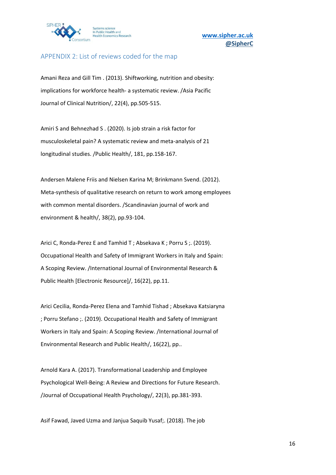

### <span id="page-20-0"></span>APPENDIX 2: List of reviews coded for the map

Amani Reza and Gill Tim . (2013). Shiftworking, nutrition and obesity: implications for workforce health- a systematic review. /Asia Pacific Journal of Clinical Nutrition/, 22(4), pp.505-515.

Amiri S and Behnezhad S . (2020). Is job strain a risk factor for musculoskeletal pain? A systematic review and meta-analysis of 21 longitudinal studies. /Public Health/, 181, pp.158-167.

Andersen Malene Friis and Nielsen Karina M; Brinkmann Svend. (2012). Meta-synthesis of qualitative research on return to work among employees with common mental disorders. /Scandinavian journal of work and environment & health/, 38(2), pp.93-104.

Arici C, Ronda-Perez E and Tamhid T ; Absekava K ; Porru S ;. (2019). Occupational Health and Safety of Immigrant Workers in Italy and Spain: A Scoping Review. /International Journal of Environmental Research & Public Health [Electronic Resource]/, 16(22), pp.11.

Arici Cecilia, Ronda-Perez Elena and Tamhid Tishad ; Absekava Katsiaryna ; Porru Stefano ;. (2019). Occupational Health and Safety of Immigrant Workers in Italy and Spain: A Scoping Review. /International Journal of Environmental Research and Public Health/, 16(22), pp..

Arnold Kara A. (2017). Transformational Leadership and Employee Psychological Well-Being: A Review and Directions for Future Research. /Journal of Occupational Health Psychology/, 22(3), pp.381-393.

Asif Fawad, Javed Uzma and Janjua Saquib Yusaf;. (2018). The job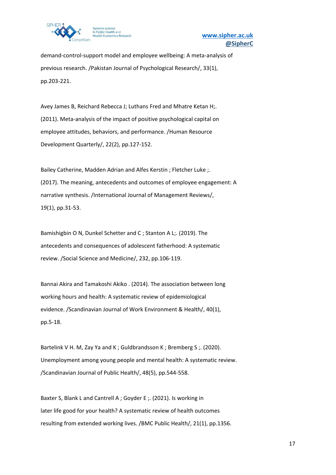

demand-control-support model and employee wellbeing: A meta-analysis of previous research. /Pakistan Journal of Psychological Research/, 33(1), pp.203-221.

Avey James B, Reichard Rebecca J; Luthans Fred and Mhatre Ketan H;. (2011). Meta-analysis of the impact of positive psychological capital on employee attitudes, behaviors, and performance. /Human Resource Development Quarterly/, 22(2), pp.127-152.

Bailey Catherine, Madden Adrian and Alfes Kerstin ; Fletcher Luke ;. (2017). The meaning, antecedents and outcomes of employee engagement: A narrative synthesis. /International Journal of Management Reviews/, 19(1), pp.31-53.

Bamishigbin O N, Dunkel Schetter and C ; Stanton A L;. (2019). The antecedents and consequences of adolescent fatherhood: A systematic review. /Social Science and Medicine/, 232, pp.106-119.

Bannai Akira and Tamakoshi Akiko . (2014). The association between long working hours and health: A systematic review of epidemiological evidence. /Scandinavian Journal of Work Environment & Health/, 40(1), pp.5-18.

Bartelink V H. M, Zay Ya and K ; Guldbrandsson K ; Bremberg S ;. (2020). Unemployment among young people and mental health: A systematic review. /Scandinavian Journal of Public Health/, 48(5), pp.544-558.

Baxter S, Blank L and Cantrell A ; Goyder E ;. (2021). Is working in later life good for your health? A systematic review of health outcomes resulting from extended working lives. /BMC Public Health/, 21(1), pp.1356.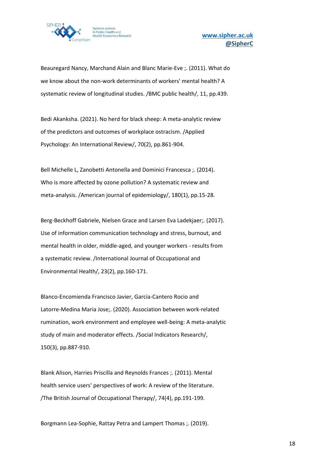

Beauregard Nancy, Marchand Alain and Blanc Marie-Eve ;. (2011). What do we know about the non-work determinants of workers' mental health? A systematic review of longitudinal studies. /BMC public health/, 11, pp.439.

Bedi Akanksha. (2021). No herd for black sheep: A meta-analytic review of the predictors and outcomes of workplace ostracism. /Applied Psychology: An International Review/, 70(2), pp.861-904.

Bell Michelle L, Zanobetti Antonella and Dominici Francesca ;. (2014). Who is more affected by ozone pollution? A systematic review and meta-analysis. /American journal of epidemiology/, 180(1), pp.15-28.

Berg-Beckhoff Gabriele, Nielsen Grace and Larsen Eva Ladekjaer;. (2017). Use of information communication technology and stress, burnout, and mental health in older, middle-aged, and younger workers - results from a systematic review. /International Journal of Occupational and Environmental Health/, 23(2), pp.160-171.

Blanco-Encomienda Francisco Javier, Garcia-Cantero Rocio and Latorre-Medina Maria Jose;. (2020). Association between work-related rumination, work environment and employee well-being: A meta-analytic study of main and moderator effects. /Social Indicators Research/, 150(3), pp.887-910.

Blank Alison, Harries Priscilla and Reynolds Frances ;. (2011). Mental health service users' perspectives of work: A review of the literature. /The British Journal of Occupational Therapy/, 74(4), pp.191-199.

Borgmann Lea-Sophie, Rattay Petra and Lampert Thomas ;. (2019).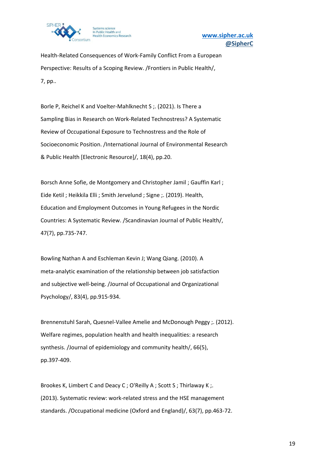

Health-Related Consequences of Work-Family Conflict From a European Perspective: Results of a Scoping Review. /Frontiers in Public Health/, 7, pp..

Borle P, Reichel K and Voelter-Mahlknecht S ;. (2021). Is There a Sampling Bias in Research on Work-Related Technostress? A Systematic Review of Occupational Exposure to Technostress and the Role of Socioeconomic Position. /International Journal of Environmental Research & Public Health [Electronic Resource]/, 18(4), pp.20.

Borsch Anne Sofie, de Montgomery and Christopher Jamil ; Gauffin Karl ; Eide Ketil ; Heikkila Elli ; Smith Jervelund ; Signe ;. (2019). Health, Education and Employment Outcomes in Young Refugees in the Nordic Countries: A Systematic Review. /Scandinavian Journal of Public Health/, 47(7), pp.735-747.

Bowling Nathan A and Eschleman Kevin J; Wang Qiang. (2010). A meta-analytic examination of the relationship between job satisfaction and subjective well-being. /Journal of Occupational and Organizational Psychology/, 83(4), pp.915-934.

Brennenstuhl Sarah, Quesnel-Vallee Amelie and McDonough Peggy ;. (2012). Welfare regimes, population health and health inequalities: a research synthesis. /Journal of epidemiology and community health/, 66(5), pp.397-409.

Brookes K, Limbert C and Deacy C ; O'Reilly A ; Scott S ; Thirlaway K ;. (2013). Systematic review: work-related stress and the HSE management standards. /Occupational medicine (Oxford and England)/, 63(7), pp.463-72.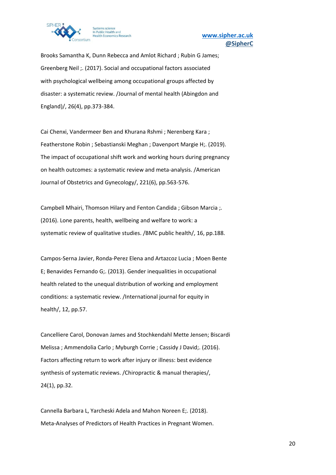

Brooks Samantha K, Dunn Rebecca and Amlot Richard ; Rubin G James; Greenberg Neil ;. (2017). Social and occupational factors associated with psychological wellbeing among occupational groups affected by disaster: a systematic review. /Journal of mental health (Abingdon and England)/, 26(4), pp.373-384.

Cai Chenxi, Vandermeer Ben and Khurana Rshmi ; Nerenberg Kara ; Featherstone Robin ; Sebastianski Meghan ; Davenport Margie H;. (2019). The impact of occupational shift work and working hours during pregnancy on health outcomes: a systematic review and meta-analysis. /American Journal of Obstetrics and Gynecology/, 221(6), pp.563-576.

Campbell Mhairi, Thomson Hilary and Fenton Candida ; Gibson Marcia ;. (2016). Lone parents, health, wellbeing and welfare to work: a systematic review of qualitative studies. /BMC public health/, 16, pp.188.

Campos-Serna Javier, Ronda-Perez Elena and Artazcoz Lucia ; Moen Bente E; Benavides Fernando G;. (2013). Gender inequalities in occupational health related to the unequal distribution of working and employment conditions: a systematic review. /International journal for equity in health/, 12, pp.57.

Cancelliere Carol, Donovan James and Stochkendahl Mette Jensen; Biscardi Melissa ; Ammendolia Carlo ; Myburgh Corrie ; Cassidy J David;. (2016). Factors affecting return to work after injury or illness: best evidence synthesis of systematic reviews. /Chiropractic & manual therapies/, 24(1), pp.32.

Cannella Barbara L, Yarcheski Adela and Mahon Noreen E;. (2018). Meta-Analyses of Predictors of Health Practices in Pregnant Women.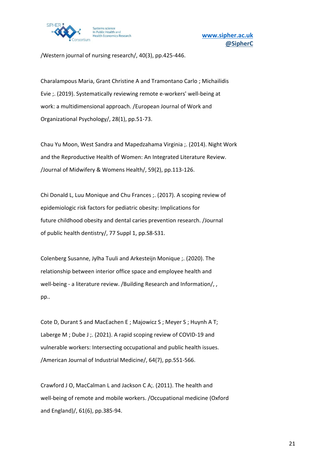

/Western journal of nursing research/, 40(3), pp.425-446.

Charalampous Maria, Grant Christine A and Tramontano Carlo ; Michailidis Evie ;. (2019). Systematically reviewing remote e-workers' well-being at work: a multidimensional approach. /European Journal of Work and Organizational Psychology/, 28(1), pp.51-73.

Chau Yu Moon, West Sandra and Mapedzahama Virginia ;. (2014). Night Work and the Reproductive Health of Women: An Integrated Literature Review. /Journal of Midwifery & Womens Health/, 59(2), pp.113-126.

Chi Donald L, Luu Monique and Chu Frances ;. (2017). A scoping review of epidemiologic risk factors for pediatric obesity: Implications for future childhood obesity and dental caries prevention research. /Journal of public health dentistry/, 77 Suppl 1, pp.S8-S31.

Colenberg Susanne, Jylha Tuuli and Arkesteijn Monique ;. (2020). The relationship between interior office space and employee health and well-being - a literature review. /Building Research and Information/, , pp..

Cote D, Durant S and MacEachen E ; Majowicz S ; Meyer S ; Huynh A T; Laberge M ; Dube J ;. (2021). A rapid scoping review of COVID-19 and vulnerable workers: Intersecting occupational and public health issues. /American Journal of Industrial Medicine/, 64(7), pp.551-566.

Crawford J O, MacCalman L and Jackson C A;. (2011). The health and well-being of remote and mobile workers. /Occupational medicine (Oxford and England)/, 61(6), pp.385-94.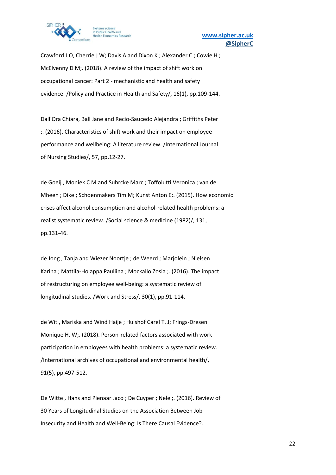

Crawford J O, Cherrie J W; Davis A and Dixon K ; Alexander C ; Cowie H ; McElvenny D M;. (2018). A review of the impact of shift work on occupational cancer: Part 2 - mechanistic and health and safety evidence. /Policy and Practice in Health and Safety/, 16(1), pp.109-144.

Dall'Ora Chiara, Ball Jane and Recio-Saucedo Alejandra ; Griffiths Peter ;. (2016). Characteristics of shift work and their impact on employee performance and wellbeing: A literature review. /International Journal of Nursing Studies/, 57, pp.12-27.

de Goeij , Moniek C M and Suhrcke Marc ; Toffolutti Veronica ; van de Mheen ; Dike ; Schoenmakers Tim M; Kunst Anton E;. (2015). How economic crises affect alcohol consumption and alcohol-related health problems: a realist systematic review. /Social science & medicine (1982)/, 131, pp.131-46.

de Jong , Tanja and Wiezer Noortje ; de Weerd ; Marjolein ; Nielsen Karina ; Mattila-Holappa Pauliina ; Mockallo Zosia ;. (2016). The impact of restructuring on employee well-being: a systematic review of longitudinal studies. /Work and Stress/, 30(1), pp.91-114.

de Wit , Mariska and Wind Haije ; Hulshof Carel T. J; Frings-Dresen Monique H. W;. (2018). Person-related factors associated with work participation in employees with health problems: a systematic review. /International archives of occupational and environmental health/, 91(5), pp.497-512.

De Witte , Hans and Pienaar Jaco ; De Cuyper ; Nele ;. (2016). Review of 30 Years of Longitudinal Studies on the Association Between Job Insecurity and Health and Well-Being: Is There Causal Evidence?.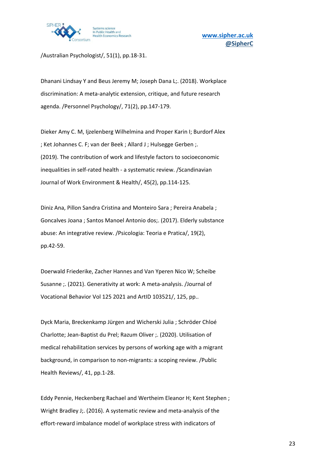

/Australian Psychologist/, 51(1), pp.18-31.

Dhanani Lindsay Y and Beus Jeremy M; Joseph Dana L;. (2018). Workplace discrimination: A meta-analytic extension, critique, and future research agenda. /Personnel Psychology/, 71(2), pp.147-179.

Dieker Amy C. M, Ijzelenberg Wilhelmina and Proper Karin I; Burdorf Alex ; Ket Johannes C. F; van der Beek ; Allard J ; Hulsegge Gerben ;. (2019). The contribution of work and lifestyle factors to socioeconomic inequalities in self-rated health - a systematic review. /Scandinavian Journal of Work Environment & Health/, 45(2), pp.114-125.

Diniz Ana, Pillon Sandra Cristina and Monteiro Sara ; Pereira Anabela ; Goncalves Joana ; Santos Manoel Antonio dos;. (2017). Elderly substance abuse: An integrative review. /Psicologia: Teoria e Pratica/, 19(2), pp.42-59.

Doerwald Friederike, Zacher Hannes and Van Yperen Nico W; Scheibe Susanne ;. (2021). Generativity at work: A meta-analysis. /Journal of Vocational Behavior Vol 125 2021 and ArtID 103521/, 125, pp..

Dyck Maria, Breckenkamp Jürgen and Wicherski Julia ; Schröder Chloé Charlotte; Jean-Baptist du Prel; Razum Oliver ;. (2020). Utilisation of medical rehabilitation services by persons of working age with a migrant background, in comparison to non-migrants: a scoping review. /Public Health Reviews/, 41, pp.1-28.

Eddy Pennie, Heckenberg Rachael and Wertheim Eleanor H; Kent Stephen ; Wright Bradley J;. (2016). A systematic review and meta-analysis of the effort-reward imbalance model of workplace stress with indicators of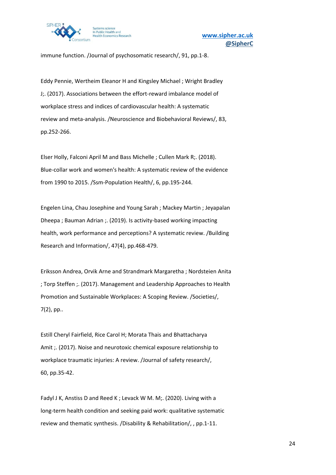

immune function. /Journal of psychosomatic research/, 91, pp.1-8.

Eddy Pennie, Wertheim Eleanor H and Kingsley Michael ; Wright Bradley J;. (2017). Associations between the effort-reward imbalance model of workplace stress and indices of cardiovascular health: A systematic review and meta-analysis. /Neuroscience and Biobehavioral Reviews/, 83, pp.252-266.

Elser Holly, Falconi April M and Bass Michelle ; Cullen Mark R;. (2018). Blue-collar work and women's health: A systematic review of the evidence from 1990 to 2015. /Ssm-Population Health/, 6, pp.195-244.

Engelen Lina, Chau Josephine and Young Sarah ; Mackey Martin ; Jeyapalan Dheepa ; Bauman Adrian ;. (2019). Is activity-based working impacting health, work performance and perceptions? A systematic review. /Building Research and Information/, 47(4), pp.468-479.

Eriksson Andrea, Orvik Arne and Strandmark Margaretha ; Nordsteien Anita ; Torp Steffen ;. (2017). Management and Leadership Approaches to Health Promotion and Sustainable Workplaces: A Scoping Review. /Societies/, 7(2), pp..

Estill Cheryl Fairfield, Rice Carol H; Morata Thais and Bhattacharya Amit ;. (2017). Noise and neurotoxic chemical exposure relationship to workplace traumatic injuries: A review. /Journal of safety research/, 60, pp.35-42.

Fadyl J K, Anstiss D and Reed K ; Levack W M. M;. (2020). Living with a long-term health condition and seeking paid work: qualitative systematic review and thematic synthesis. /Disability & Rehabilitation/, , pp.1-11.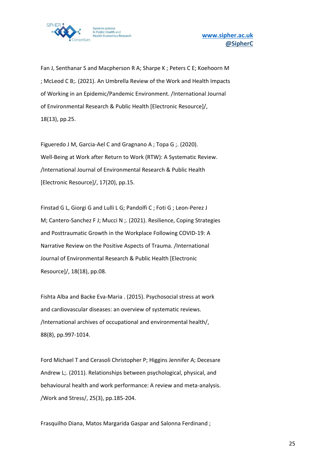

Fan J, Senthanar S and Macpherson R A; Sharpe K ; Peters C E; Koehoorn M ; McLeod C B;. (2021). An Umbrella Review of the Work and Health Impacts of Working in an Epidemic/Pandemic Environment. /International Journal of Environmental Research & Public Health [Electronic Resource]/, 18(13), pp.25.

Figueredo J M, Garcia-Ael C and Gragnano A ; Topa G ;. (2020). Well-Being at Work after Return to Work (RTW): A Systematic Review. /International Journal of Environmental Research & Public Health [Electronic Resource]/, 17(20), pp.15.

Finstad G L, Giorgi G and Lulli L G; Pandolfi C ; Foti G ; Leon-Perez J M; Cantero-Sanchez F J; Mucci N ;. (2021). Resilience, Coping Strategies and Posttraumatic Growth in the Workplace Following COVID-19: A Narrative Review on the Positive Aspects of Trauma. /International Journal of Environmental Research & Public Health [Electronic Resource]/, 18(18), pp.08.

Fishta Alba and Backe Eva-Maria . (2015). Psychosocial stress at work and cardiovascular diseases: an overview of systematic reviews. /International archives of occupational and environmental health/, 88(8), pp.997-1014.

Ford Michael T and Cerasoli Christopher P; Higgins Jennifer A; Decesare Andrew L;. (2011). Relationships between psychological, physical, and behavioural health and work performance: A review and meta-analysis. /Work and Stress/, 25(3), pp.185-204.

Frasquilho Diana, Matos Margarida Gaspar and Salonna Ferdinand ;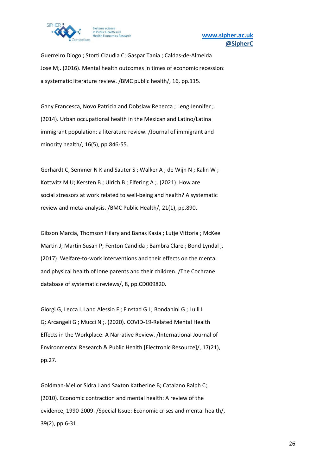

Guerreiro Diogo ; Storti Claudia C; Gaspar Tania ; Caldas-de-Almeida Jose M;. (2016). Mental health outcomes in times of economic recession: a systematic literature review. /BMC public health/, 16, pp.115.

Gany Francesca, Novo Patricia and Dobslaw Rebecca ; Leng Jennifer ;. (2014). Urban occupational health in the Mexican and Latino/Latina immigrant population: a literature review. /Journal of immigrant and minority health/, 16(5), pp.846-55.

Gerhardt C, Semmer N K and Sauter S ; Walker A ; de Wijn N ; Kalin W ; Kottwitz M U; Kersten B ; Ulrich B ; Elfering A ;. (2021). How are social stressors at work related to well-being and health? A systematic review and meta-analysis. /BMC Public Health/, 21(1), pp.890.

Gibson Marcia, Thomson Hilary and Banas Kasia ; Lutje Vittoria ; McKee Martin J; Martin Susan P; Fenton Candida ; Bambra Clare ; Bond Lyndal ;. (2017). Welfare-to-work interventions and their effects on the mental and physical health of lone parents and their children. /The Cochrane database of systematic reviews/, 8, pp.CD009820.

Giorgi G, Lecca L I and Alessio F ; Finstad G L; Bondanini G ; Lulli L G; Arcangeli G ; Mucci N ;. (2020). COVID-19-Related Mental Health Effects in the Workplace: A Narrative Review. /International Journal of Environmental Research & Public Health [Electronic Resource]/, 17(21), pp.27.

Goldman-Mellor Sidra J and Saxton Katherine B; Catalano Ralph C;. (2010). Economic contraction and mental health: A review of the evidence, 1990-2009. /Special Issue: Economic crises and mental health/, 39(2), pp.6-31.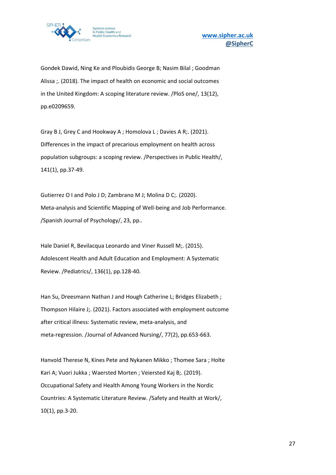

Gondek Dawid, Ning Ke and Ploubidis George B; Nasim Bilal ; Goodman Alissa ;. (2018). The impact of health on economic and social outcomes in the United Kingdom: A scoping literature review. /PloS one/, 13(12), pp.e0209659.

Gray B J, Grey C and Hookway A ; Homolova L ; Davies A R;. (2021). Differences in the impact of precarious employment on health across population subgroups: a scoping review. /Perspectives in Public Health/, 141(1), pp.37-49.

Gutierrez O I and Polo J D; Zambrano M J; Molina D C;. (2020). Meta-analysis and Scientific Mapping of Well-being and Job Performance. /Spanish Journal of Psychology/, 23, pp..

Hale Daniel R, Bevilacqua Leonardo and Viner Russell M;. (2015). Adolescent Health and Adult Education and Employment: A Systematic Review. /Pediatrics/, 136(1), pp.128-40.

Han Su, Dreesmann Nathan J and Hough Catherine L; Bridges Elizabeth ; Thompson Hilaire J;. (2021). Factors associated with employment outcome after critical illness: Systematic review, meta‐analysis, and meta-regression. /Journal of Advanced Nursing/, 77(2), pp.653-663.

Hanvold Therese N, Kines Pete and Nykanen Mikko ; Thomee Sara ; Holte Kari A; Vuori Jukka ; Waersted Morten ; Veiersted Kaj B;. (2019). Occupational Safety and Health Among Young Workers in the Nordic Countries: A Systematic Literature Review. /Safety and Health at Work/, 10(1), pp.3-20.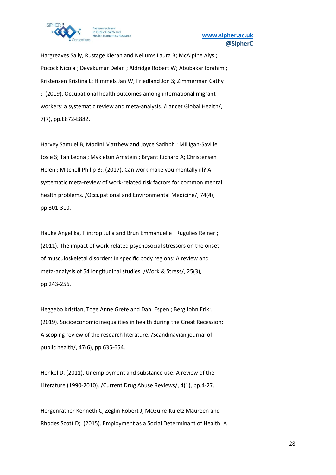

Hargreaves Sally, Rustage Kieran and Nellums Laura B; McAlpine Alys ; Pocock Nicola ; Devakumar Delan ; Aldridge Robert W; Abubakar Ibrahim ; Kristensen Kristina L; Himmels Jan W; Friedland Jon S; Zimmerman Cathy ;. (2019). Occupational health outcomes among international migrant workers: a systematic review and meta-analysis. /Lancet Global Health/, 7(7), pp.E872-E882.

Harvey Samuel B, Modini Matthew and Joyce Sadhbh ; Milligan-Saville Josie S; Tan Leona ; Mykletun Arnstein ; Bryant Richard A; Christensen Helen ; Mitchell Philip B;. (2017). Can work make you mentally ill? A systematic meta-review of work-related risk factors for common mental health problems. /Occupational and Environmental Medicine/, 74(4), pp.301-310.

Hauke Angelika, Flintrop Julia and Brun Emmanuelle ; Rugulies Reiner ;. (2011). The impact of work-related psychosocial stressors on the onset of musculoskeletal disorders in specific body regions: A review and meta-analysis of 54 longitudinal studies. /Work & Stress/, 25(3), pp.243-256.

Heggebo Kristian, Toge Anne Grete and Dahl Espen ; Berg John Erik;. (2019). Socioeconomic inequalities in health during the Great Recession: A scoping review of the research literature. /Scandinavian journal of public health/, 47(6), pp.635-654.

Henkel D. (2011). Unemployment and substance use: A review of the Literature (1990-2010). /Current Drug Abuse Reviews/, 4(1), pp.4-27.

Hergenrather Kenneth C, Zeglin Robert J; McGuire-Kuletz Maureen and Rhodes Scott D;. (2015). Employment as a Social Determinant of Health: A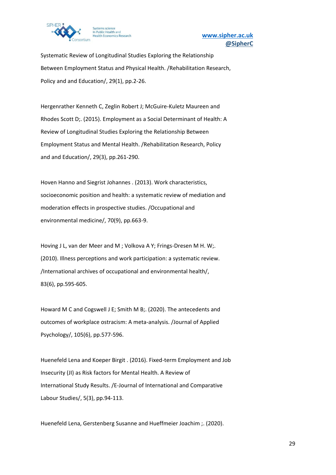

Systematic Review of Longitudinal Studies Exploring the Relationship Between Employment Status and Physical Health. /Rehabilitation Research, Policy and and Education/, 29(1), pp.2-26.

Hergenrather Kenneth C, Zeglin Robert J; McGuire-Kuletz Maureen and Rhodes Scott D;. (2015). Employment as a Social Determinant of Health: A Review of Longitudinal Studies Exploring the Relationship Between Employment Status and Mental Health. /Rehabilitation Research, Policy and and Education/, 29(3), pp.261-290.

Hoven Hanno and Siegrist Johannes . (2013). Work characteristics, socioeconomic position and health: a systematic review of mediation and moderation effects in prospective studies. /Occupational and environmental medicine/, 70(9), pp.663-9.

Hoving J L, van der Meer and M ; Volkova A Y; Frings-Dresen M H. W;. (2010). Illness perceptions and work participation: a systematic review. /International archives of occupational and environmental health/, 83(6), pp.595-605.

Howard M C and Cogswell J E; Smith M B;. (2020). The antecedents and outcomes of workplace ostracism: A meta-analysis. /Journal of Applied Psychology/, 105(6), pp.577-596.

Huenefeld Lena and Koeper Birgit . (2016). Fixed-term Employment and Job Insecurity (JI) as Risk factors for Mental Health. A Review of International Study Results. /E-Journal of International and Comparative Labour Studies/, 5(3), pp.94-113.

Huenefeld Lena, Gerstenberg Susanne and Hueffmeier Joachim ;. (2020).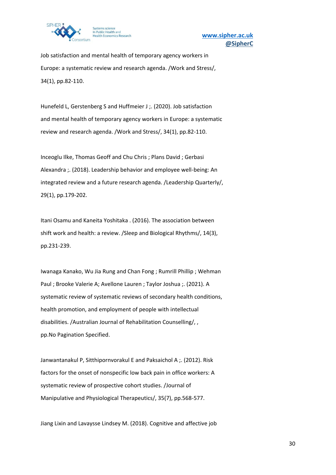

Job satisfaction and mental health of temporary agency workers in Europe: a systematic review and research agenda. /Work and Stress/, 34(1), pp.82-110.

Hunefeld L, Gerstenberg S and Huffmeier J ;. (2020). Job satisfaction and mental health of temporary agency workers in Europe: a systematic review and research agenda. /Work and Stress/, 34(1), pp.82-110.

Inceoglu Ilke, Thomas Geoff and Chu Chris ; Plans David ; Gerbasi Alexandra ;. (2018). Leadership behavior and employee well-being: An integrated review and a future research agenda. /Leadership Quarterly/, 29(1), pp.179-202.

Itani Osamu and Kaneita Yoshitaka . (2016). The association between shift work and health: a review. /Sleep and Biological Rhythms/, 14(3), pp.231-239.

Iwanaga Kanako, Wu Jia Rung and Chan Fong ; Rumrill Phillip ; Wehman Paul ; Brooke Valerie A; Avellone Lauren ; Taylor Joshua ;. (2021). A systematic review of systematic reviews of secondary health conditions, health promotion, and employment of people with intellectual disabilities. /Australian Journal of Rehabilitation Counselling/, , pp.No Pagination Specified.

Janwantanakul P, Sitthipornvorakul E and Paksaichol A ;. (2012). Risk factors for the onset of nonspecific low back pain in office workers: A systematic review of prospective cohort studies. /Journal of Manipulative and Physiological Therapeutics/, 35(7), pp.568-577.

Jiang Lixin and Lavaysse Lindsey M. (2018). Cognitive and affective job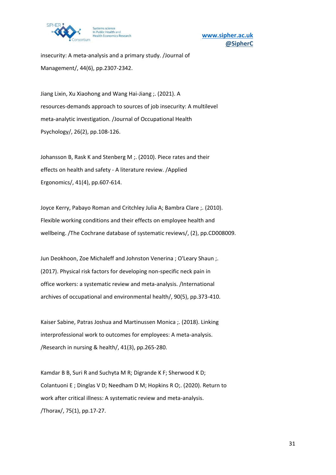

insecurity: A meta-analysis and a primary study. /Journal of Management/, 44(6), pp.2307-2342.

Jiang Lixin, Xu Xiaohong and Wang Hai-Jiang ;. (2021). A resources-demands approach to sources of job insecurity: A multilevel meta-analytic investigation. /Journal of Occupational Health Psychology/, 26(2), pp.108-126.

Johansson B, Rask K and Stenberg M ;. (2010). Piece rates and their effects on health and safety - A literature review. /Applied Ergonomics/, 41(4), pp.607-614.

Joyce Kerry, Pabayo Roman and Critchley Julia A; Bambra Clare ;. (2010). Flexible working conditions and their effects on employee health and wellbeing. /The Cochrane database of systematic reviews/, (2), pp.CD008009.

Jun Deokhoon, Zoe Michaleff and Johnston Venerina; O'Leary Shaun; (2017). Physical risk factors for developing non-specific neck pain in office workers: a systematic review and meta-analysis. /International archives of occupational and environmental health/, 90(5), pp.373-410.

Kaiser Sabine, Patras Joshua and Martinussen Monica ;. (2018). Linking interprofessional work to outcomes for employees: A meta-analysis. /Research in nursing & health/, 41(3), pp.265-280.

Kamdar B B, Suri R and Suchyta M R; Digrande K F; Sherwood K D; Colantuoni E ; Dinglas V D; Needham D M; Hopkins R O;. (2020). Return to work after critical illness: A systematic review and meta-analysis. /Thorax/, 75(1), pp.17-27.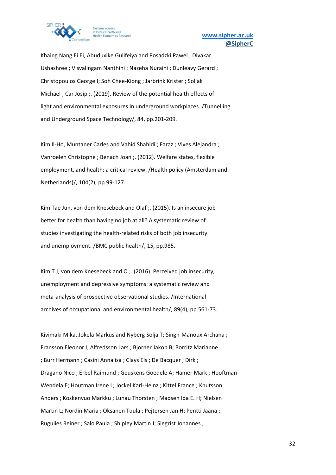

Khaing Nang Ei Ei, Abuduxike Gulifeiya and Posadzki Pawel ; Divakar Ushashree ; Visvalingam Nanthini ; Nazeha Nuraini ; Dunleavy Gerard ; Christopoulos George I; Soh Chee-Kiong ; Jarbrink Krister ; Soljak Michael ; Car Josip ;. (2019). Review of the potential health effects of light and environmental exposures in underground workplaces. /Tunnelling and Underground Space Technology/, 84, pp.201-209.

Kim Il-Ho, Muntaner Carles and Vahid Shahidi ; Faraz ; Vives Alejandra ; Vanroelen Christophe ; Benach Joan ;. (2012). Welfare states, flexible employment, and health: a critical review. /Health policy (Amsterdam and Netherlands)/, 104(2), pp.99-127.

Kim Tae Jun, von dem Knesebeck and Olaf ;. (2015). Is an insecure job better for health than having no job at all? A systematic review of studies investigating the health-related risks of both job insecurity and unemployment. /BMC public health/, 15, pp.985.

Kim T J, von dem Knesebeck and O ;. (2016). Perceived job insecurity, unemployment and depressive symptoms: a systematic review and meta-analysis of prospective observational studies. /International archives of occupational and environmental health/, 89(4), pp.561-73.

Kivimaki Mika, Jokela Markus and Nyberg Solja T; Singh-Manoux Archana ; Fransson Eleonor I; Alfredsson Lars ; Bjorner Jakob B; Borritz Marianne ; Burr Hermann ; Casini Annalisa ; Clays Els ; De Bacquer ; Dirk ; Dragano Nico ; Erbel Raimund ; Geuskens Goedele A; Hamer Mark ; Hooftman Wendela E; Houtman Irene L; Jockel Karl-Heinz ; Kittel France ; Knutsson Anders ; Koskenvuo Markku ; Lunau Thorsten ; Madsen Ida E. H; Nielsen Martin L; Nordin Maria ; Oksanen Tuula ; Pejtersen Jan H; Pentti Jaana ; Rugulies Reiner ; Salo Paula ; Shipley Martin J; Siegrist Johannes ;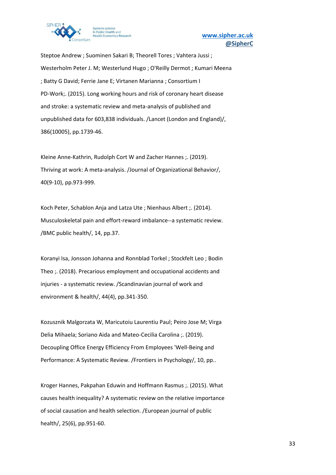

Steptoe Andrew ; Suominen Sakari B; Theorell Tores ; Vahtera Jussi ; Westerholm Peter J. M; Westerlund Hugo ; O'Reilly Dermot ; Kumari Meena ; Batty G David; Ferrie Jane E; Virtanen Marianna ; Consortium I PD-Work;. (2015). Long working hours and risk of coronary heart disease and stroke: a systematic review and meta-analysis of published and unpublished data for 603,838 individuals. /Lancet (London and England)/, 386(10005), pp.1739-46.

Kleine Anne-Kathrin, Rudolph Cort W and Zacher Hannes ;. (2019). Thriving at work: A meta-analysis. /Journal of Organizational Behavior/, 40(9-10), pp.973-999.

Koch Peter, Schablon Anja and Latza Ute ; Nienhaus Albert ;. (2014). Musculoskeletal pain and effort-reward imbalance--a systematic review. /BMC public health/, 14, pp.37.

Koranyi Isa, Jonsson Johanna and Ronnblad Torkel ; Stockfelt Leo ; Bodin Theo ;. (2018). Precarious employment and occupational accidents and injuries - a systematic review. /Scandinavian journal of work and environment & health/, 44(4), pp.341-350.

Kozusznik Malgorzata W, Maricutoiu Laurentiu Paul; Peiro Jose M; Virga Delia Mihaela; Soriano Aida and Mateo-Cecilia Carolina ;. (2019). Decoupling Office Energy Efficiency From Employees 'Well-Being and Performance: A Systematic Review. /Frontiers in Psychology/, 10, pp..

Kroger Hannes, Pakpahan Eduwin and Hoffmann Rasmus ;. (2015). What causes health inequality? A systematic review on the relative importance of social causation and health selection. /European journal of public health/, 25(6), pp.951-60.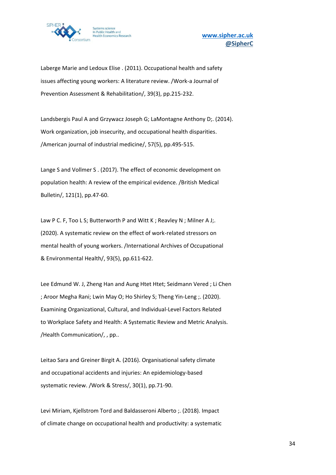

Laberge Marie and Ledoux Elise . (2011). Occupational health and safety issues affecting young workers: A literature review. /Work-a Journal of Prevention Assessment & Rehabilitation/, 39(3), pp.215-232.

Landsbergis Paul A and Grzywacz Joseph G; LaMontagne Anthony D;. (2014). Work organization, job insecurity, and occupational health disparities. /American journal of industrial medicine/, 57(5), pp.495-515.

Lange S and Vollmer S . (2017). The effect of economic development on population health: A review of the empirical evidence. /British Medical Bulletin/, 121(1), pp.47-60.

Law P C. F, Too L S; Butterworth P and Witt K ; Reavley N ; Milner A J;. (2020). A systematic review on the effect of work-related stressors on mental health of young workers. /International Archives of Occupational & Environmental Health/, 93(5), pp.611-622.

Lee Edmund W. J, Zheng Han and Aung Htet Htet; Seidmann Vered ; Li Chen ; Aroor Megha Rani; Lwin May O; Ho Shirley S; Theng Yin-Leng ;. (2020). Examining Organizational, Cultural, and Individual-Level Factors Related to Workplace Safety and Health: A Systematic Review and Metric Analysis. /Health Communication/, , pp..

Leitao Sara and Greiner Birgit A. (2016). Organisational safety climate and occupational accidents and injuries: An epidemiology-based systematic review. /Work & Stress/, 30(1), pp.71-90.

Levi Miriam, Kjellstrom Tord and Baldasseroni Alberto ;. (2018). Impact of climate change on occupational health and productivity: a systematic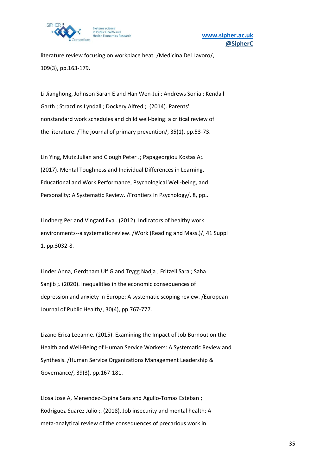

literature review focusing on workplace heat. /Medicina Del Lavoro/, 109(3), pp.163-179.

Li Jianghong, Johnson Sarah E and Han Wen-Jui ; Andrews Sonia ; Kendall Garth ; Strazdins Lyndall ; Dockery Alfred ;. (2014). Parents' nonstandard work schedules and child well-being: a critical review of the literature. /The journal of primary prevention/, 35(1), pp.53-73.

Lin Ying, Mutz Julian and Clough Peter J; Papageorgiou Kostas A;. (2017). Mental Toughness and Individual Differences in Learning, Educational and Work Performance, Psychological Well-being, and Personality: A Systematic Review. /Frontiers in Psychology/, 8, pp..

Lindberg Per and Vingard Eva . (2012). Indicators of healthy work environments--a systematic review. /Work (Reading and Mass.)/, 41 Suppl 1, pp.3032-8.

Linder Anna, Gerdtham Ulf G and Trygg Nadja ; Fritzell Sara ; Saha Sanjib ;. (2020). Inequalities in the economic consequences of depression and anxiety in Europe: A systematic scoping review. /European Journal of Public Health/, 30(4), pp.767-777.

Lizano Erica Leeanne. (2015). Examining the Impact of Job Burnout on the Health and Well-Being of Human Service Workers: A Systematic Review and Synthesis. /Human Service Organizations Management Leadership & Governance/, 39(3), pp.167-181.

Llosa Jose A, Menendez-Espina Sara and Agullo-Tomas Esteban ; Rodriguez-Suarez Julio ;. (2018). Job insecurity and mental health: A meta-analytical review of the consequences of precarious work in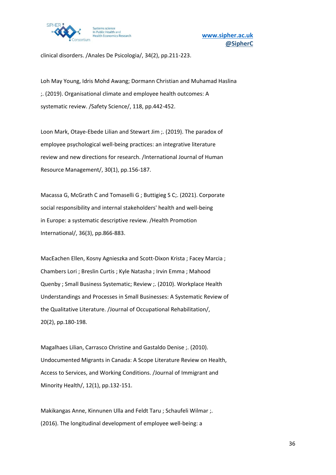

clinical disorders. /Anales De Psicologia/, 34(2), pp.211-223.

Loh May Young, Idris Mohd Awang; Dormann Christian and Muhamad Haslina ;. (2019). Organisational climate and employee health outcomes: A systematic review. /Safety Science/, 118, pp.442-452.

Loon Mark, Otaye-Ebede Lilian and Stewart Jim ;. (2019). The paradox of employee psychological well-being practices: an integrative literature review and new directions for research. /International Journal of Human Resource Management/, 30(1), pp.156-187.

Macassa G, McGrath C and Tomaselli G ; Buttigieg S C;. (2021). Corporate social responsibility and internal stakeholders' health and well-being in Europe: a systematic descriptive review. /Health Promotion International/, 36(3), pp.866-883.

MacEachen Ellen, Kosny Agnieszka and Scott-Dixon Krista ; Facey Marcia ; Chambers Lori ; Breslin Curtis ; Kyle Natasha ; Irvin Emma ; Mahood Quenby ; Small Business Systematic; Review ;. (2010). Workplace Health Understandings and Processes in Small Businesses: A Systematic Review of the Qualitative Literature. /Journal of Occupational Rehabilitation/, 20(2), pp.180-198.

Magalhaes Lilian, Carrasco Christine and Gastaldo Denise ;. (2010). Undocumented Migrants in Canada: A Scope Literature Review on Health, Access to Services, and Working Conditions. /Journal of Immigrant and Minority Health/, 12(1), pp.132-151.

Makikangas Anne, Kinnunen Ulla and Feldt Taru ; Schaufeli Wilmar ;. (2016). The longitudinal development of employee well-being: a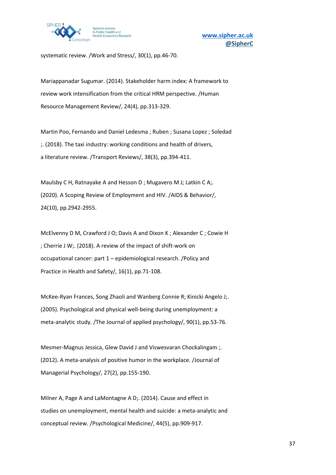

systematic review. /Work and Stress/, 30(1), pp.46-70.

Mariappanadar Sugumar. (2014). Stakeholder harm index: A framework to review work intensification from the critical HRM perspective. /Human Resource Management Review/, 24(4), pp.313-329.

Martin Poo, Fernando and Daniel Ledesma ; Ruben ; Susana Lopez ; Soledad ;. (2018). The taxi industry: working conditions and health of drivers, a literature review. /Transport Reviews/, 38(3), pp.394-411.

Maulsby C H, Ratnayake A and Hesson D ; Mugavero M J; Latkin C A;. (2020). A Scoping Review of Employment and HIV. /AIDS & Behavior/, 24(10), pp.2942-2955.

McElvenny D M, Crawford J O; Davis A and Dixon K ; Alexander C ; Cowie H ; Cherrie J W;. (2018). A review of the impact of shift-work on occupational cancer: part 1 – epidemiological research. /Policy and Practice in Health and Safety/, 16(1), pp.71-108.

McKee-Ryan Frances, Song Zhaoli and Wanberg Connie R; Kinicki Angelo J;. (2005). Psychological and physical well-being during unemployment: a meta-analytic study. /The Journal of applied psychology/, 90(1), pp.53-76.

Mesmer-Magnus Jessica, Glew David J and Viswesvaran Chockalingam ;. (2012). A meta-analysis of positive humor in the workplace. /Journal of Managerial Psychology/, 27(2), pp.155-190.

Milner A, Page A and LaMontagne A D;. (2014). Cause and effect in studies on unemployment, mental health and suicide: a meta-analytic and conceptual review. /Psychological Medicine/, 44(5), pp.909-917.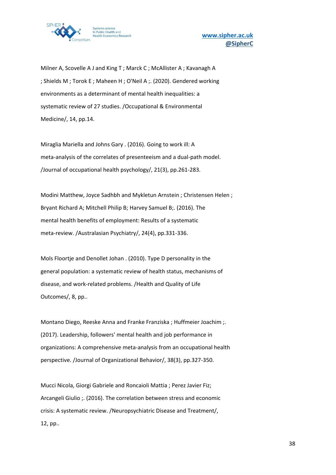

Milner A, Scovelle A J and King T ; Marck C ; McAllister A ; Kavanagh A ; Shields M ; Torok E ; Maheen H ; O'Neil A ;. (2020). Gendered working environments as a determinant of mental health inequalities: a systematic review of 27 studies. /Occupational & Environmental Medicine/, 14, pp.14.

Miraglia Mariella and Johns Gary . (2016). Going to work ill: A meta-analysis of the correlates of presenteeism and a dual-path model. /Journal of occupational health psychology/, 21(3), pp.261-283.

Modini Matthew, Joyce Sadhbh and Mykletun Arnstein ; Christensen Helen ; Bryant Richard A; Mitchell Philip B; Harvey Samuel B;. (2016). The mental health benefits of employment: Results of a systematic meta-review. /Australasian Psychiatry/, 24(4), pp.331-336.

Mols Floortje and Denollet Johan . (2010). Type D personality in the general population: a systematic review of health status, mechanisms of disease, and work-related problems. /Health and Quality of Life Outcomes/, 8, pp..

Montano Diego, Reeske Anna and Franke Franziska ; Huffmeier Joachim ;. (2017). Leadership, followers' mental health and job performance in organizations: A comprehensive meta-analysis from an occupational health perspective. /Journal of Organizational Behavior/, 38(3), pp.327-350.

Mucci Nicola, Giorgi Gabriele and Roncaioli Mattia ; Perez Javier Fiz; Arcangeli Giulio ;. (2016). The correlation between stress and economic crisis: A systematic review. /Neuropsychiatric Disease and Treatment/, 12, pp..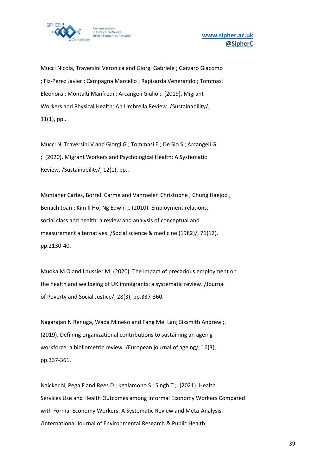

Mucci Nicola, Traversini Veronica and Giorgi Gabriele ; Garzaro Giacomo ; Fiz-Perez Javier ; Campagna Marcello ; Rapisarda Venerando ; Tommasi Eleonora ; Montalti Manfredi ; Arcangeli Giulio ;. (2019). Migrant Workers and Physical Health: An Umbrella Review. /Sustainability/, 11(1), pp..

Mucci N, Traversini V and Giorgi G ; Tommasi E ; De Sio S ; Arcangeli G ;. (2020). Migrant Workers and Psychological Health: A Systematic Review. /Sustainability/, 12(1), pp..

Muntaner Carles, Borrell Carme and Vanroelen Christophe ; Chung Haejoo ; Benach Joan ; Kim Il Ho; Ng Edwin ;. (2010). Employment relations, social class and health: a review and analysis of conceptual and measurement alternatives. /Social science & medicine (1982)/, 71(12), pp.2130-40.

Muoka M O and Lhussier M. (2020). The impact of precarious employment on the health and wellbeing of UK immigrants: a systematic review. /Journal of Poverty and Social Justice/, 28(3), pp.337-360.

Nagarajan N Renuga, Wada Mineko and Fang Mei Lan; Sixsmith Andrew ;. (2019). Defining organizational contributions to sustaining an ageing workforce: a bibliometric review. /European journal of ageing/, 16(3), pp.337-361.

Naicker N, Pega F and Rees D ; Kgalamono S ; Singh T ;. (2021). Health Services Use and Health Outcomes among Informal Economy Workers Compared with Formal Economy Workers: A Systematic Review and Meta-Analysis. /International Journal of Environmental Research & Public Health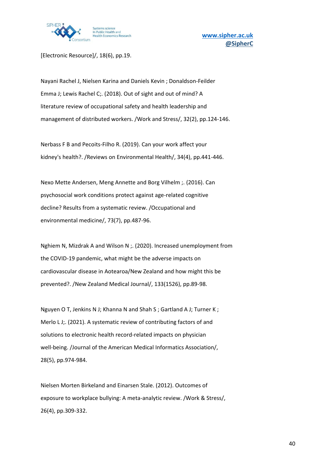

[Electronic Resource]/, 18(6), pp.19.

Nayani Rachel J, Nielsen Karina and Daniels Kevin ; Donaldson-Feilder Emma J; Lewis Rachel C;. (2018). Out of sight and out of mind? A literature review of occupational safety and health leadership and management of distributed workers. /Work and Stress/, 32(2), pp.124-146.

Nerbass F B and Pecoits-Filho R. (2019). Can your work affect your kidney's health?. /Reviews on Environmental Health/, 34(4), pp.441-446.

Nexo Mette Andersen, Meng Annette and Borg Vilhelm ;. (2016). Can psychosocial work conditions protect against age-related cognitive decline? Results from a systematic review. /Occupational and environmental medicine/, 73(7), pp.487-96.

Nghiem N, Mizdrak A and Wilson N ;. (2020). Increased unemployment from the COVID-19 pandemic, what might be the adverse impacts on cardiovascular disease in Aotearoa/New Zealand and how might this be prevented?. /New Zealand Medical Journal/, 133(1526), pp.89-98.

Nguyen O T, Jenkins N J; Khanna N and Shah S ; Gartland A J; Turner K ; Merlo L J;. (2021). A systematic review of contributing factors of and solutions to electronic health record-related impacts on physician well-being. /Journal of the American Medical Informatics Association/, 28(5), pp.974-984.

Nielsen Morten Birkeland and Einarsen Stale. (2012). Outcomes of exposure to workplace bullying: A meta-analytic review. /Work & Stress/, 26(4), pp.309-332.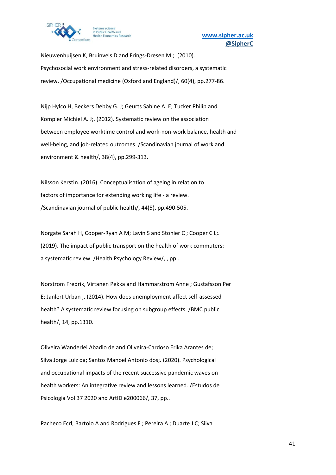

Nieuwenhuijsen K, Bruinvels D and Frings-Dresen M ;. (2010). Psychosocial work environment and stress-related disorders, a systematic review. /Occupational medicine (Oxford and England)/, 60(4), pp.277-86.

Nijp Hylco H, Beckers Debby G. J; Geurts Sabine A. E; Tucker Philip and Kompier Michiel A. J;. (2012). Systematic review on the association between employee worktime control and work-non-work balance, health and well-being, and job-related outcomes. /Scandinavian journal of work and environment & health/, 38(4), pp.299-313.

Nilsson Kerstin. (2016). Conceptualisation of ageing in relation to factors of importance for extending working life - a review. /Scandinavian journal of public health/, 44(5), pp.490-505.

Norgate Sarah H, Cooper-Ryan A M; Lavin S and Stonier C ; Cooper C L;. (2019). The impact of public transport on the health of work commuters: a systematic review. /Health Psychology Review/, , pp..

Norstrom Fredrik, Virtanen Pekka and Hammarstrom Anne ; Gustafsson Per E; Janlert Urban ;. (2014). How does unemployment affect self-assessed health? A systematic review focusing on subgroup effects. /BMC public health/, 14, pp.1310.

Oliveira Wanderlei Abadio de and Oliveira-Cardoso Erika Arantes de; Silva Jorge Luiz da; Santos Manoel Antonio dos;. (2020). Psychological and occupational impacts of the recent successive pandemic waves on health workers: An integrative review and lessons learned. /Estudos de Psicologia Vol 37 2020 and ArtID e200066/, 37, pp..

Pacheco Ecrl, Bartolo A and Rodrigues F ; Pereira A ; Duarte J C; Silva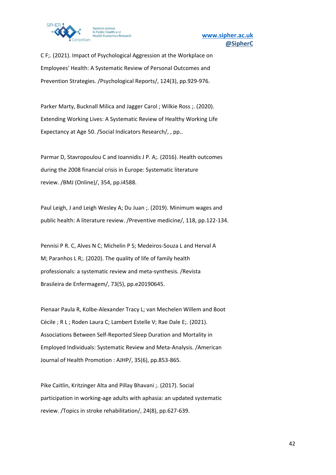

C F;. (2021). Impact of Psychological Aggression at the Workplace on Employees' Health: A Systematic Review of Personal Outcomes and Prevention Strategies. /Psychological Reports/, 124(3), pp.929-976.

Parker Marty, Bucknall Milica and Jagger Carol ; Wilkie Ross ;. (2020). Extending Working Lives: A Systematic Review of Healthy Working Life Expectancy at Age 50. /Social Indicators Research/, , pp..

Parmar D, Stavropoulou C and Ioannidis J P. A;. (2016). Health outcomes during the 2008 financial crisis in Europe: Systematic literature review. /BMJ (Online)/, 354, pp.i4588.

Paul Leigh, J and Leigh Wesley A; Du Juan ;. (2019). Minimum wages and public health: A literature review. /Preventive medicine/, 118, pp.122-134.

Pennisi P R. C, Alves N C; Michelin P S; Medeiros-Souza L and Herval A M; Paranhos L R;. (2020). The quality of life of family health professionals: a systematic review and meta-synthesis. /Revista Brasileira de Enfermagem/, 73(5), pp.e20190645.

Pienaar Paula R, Kolbe-Alexander Tracy L; van Mechelen Willem and Boot Cécile ; R L ; Roden Laura C; Lambert Estelle V; Rae Dale E;. (2021). Associations Between Self-Reported Sleep Duration and Mortality in Employed Individuals: Systematic Review and Meta-Analysis. /American Journal of Health Promotion : AJHP/, 35(6), pp.853-865.

Pike Caitlin, Kritzinger Alta and Pillay Bhavani ;. (2017). Social participation in working-age adults with aphasia: an updated systematic review. /Topics in stroke rehabilitation/, 24(8), pp.627-639.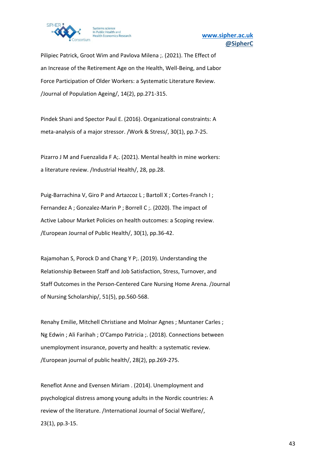

Pilipiec Patrick, Groot Wim and Pavlova Milena ;. (2021). The Effect of an Increase of the Retirement Age on the Health, Well-Being, and Labor Force Participation of Older Workers: a Systematic Literature Review. /Journal of Population Ageing/, 14(2), pp.271-315.

Pindek Shani and Spector Paul E. (2016). Organizational constraints: A meta-analysis of a major stressor. /Work & Stress/, 30(1), pp.7-25.

Pizarro J M and Fuenzalida F A;. (2021). Mental health in mine workers: a literature review. /Industrial Health/, 28, pp.28.

Puig-Barrachina V, Giro P and Artazcoz L; Bartoll X; Cortes-Franch I; Fernandez A ; Gonzalez-Marin P ; Borrell C ;. (2020). The impact of Active Labour Market Policies on health outcomes: a Scoping review. /European Journal of Public Health/, 30(1), pp.36-42.

Rajamohan S, Porock D and Chang Y P;. (2019). Understanding the Relationship Between Staff and Job Satisfaction, Stress, Turnover, and Staff Outcomes in the Person-Centered Care Nursing Home Arena. /Journal of Nursing Scholarship/, 51(5), pp.560-568.

Renahy Emilie, Mitchell Christiane and Molnar Agnes ; Muntaner Carles ; Ng Edwin ; Ali Farihah ; O'Campo Patricia ;. (2018). Connections between unemployment insurance, poverty and health: a systematic review. /European journal of public health/, 28(2), pp.269-275.

Reneflot Anne and Evensen Miriam . (2014). Unemployment and psychological distress among young adults in the Nordic countries: A review of the literature. /International Journal of Social Welfare/, 23(1), pp.3-15.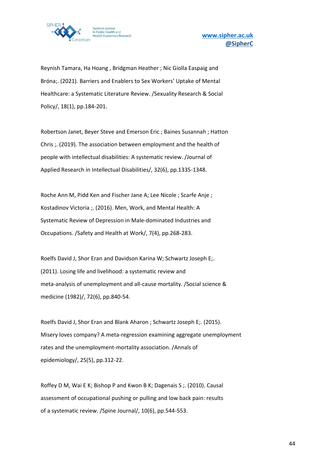

Reynish Tamara, Ha Hoang , Bridgman Heather ; Nic Giolla Easpaig and Bróna;. (2021). Barriers and Enablers to Sex Workers' Uptake of Mental Healthcare: a Systematic Literature Review. /Sexuality Research & Social Policy/, 18(1), pp.184-201.

Robertson Janet, Beyer Steve and Emerson Eric ; Baines Susannah ; Hatton Chris ;. (2019). The association between employment and the health of people with intellectual disabilities: A systematic review. /Journal of Applied Research in Intellectual Disabilities/, 32(6), pp.1335-1348.

Roche Ann M, Pidd Ken and Fischer Jane A; Lee Nicole ; Scarfe Anje ; Kostadinov Victoria ;. (2016). Men, Work, and Mental Health: A Systematic Review of Depression in Male-dominated Industries and Occupations. /Safety and Health at Work/, 7(4), pp.268-283.

Roelfs David J, Shor Eran and Davidson Karina W; Schwartz Joseph E;. (2011). Losing life and livelihood: a systematic review and meta-analysis of unemployment and all-cause mortality. /Social science & medicine (1982)/, 72(6), pp.840-54.

Roelfs David J, Shor Eran and Blank Aharon ; Schwartz Joseph E;. (2015). Misery loves company? A meta-regression examining aggregate unemployment rates and the unemployment-mortality association. /Annals of epidemiology/, 25(5), pp.312-22.

Roffey D M, Wai E K; Bishop P and Kwon B K; Dagenais S ;. (2010). Causal assessment of occupational pushing or pulling and low back pain: results of a systematic review. /Spine Journal/, 10(6), pp.544-553.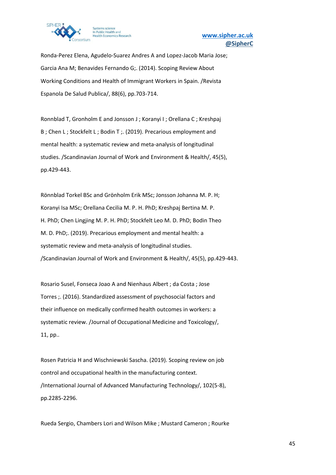

Ronda-Perez Elena, Agudelo-Suarez Andres A and Lopez-Jacob Maria Jose; Garcia Ana M; Benavides Fernando G;. (2014). Scoping Review About Working Conditions and Health of Immigrant Workers in Spain. /Revista Espanola De Salud Publica/, 88(6), pp.703-714.

Ronnblad T, Gronholm E and Jonsson J ; Koranyi I ; Orellana C ; Kreshpaj B ; Chen L ; Stockfelt L ; Bodin T ;. (2019). Precarious employment and mental health: a systematic review and meta-analysis of longitudinal studies. /Scandinavian Journal of Work and Environment & Health/, 45(5), pp.429-443.

Rönnblad Torkel BSc and Grönholm Erik MSc; Jonsson Johanna M. P. H; Koranyi Isa MSc; Orellana Cecilia M. P. H. PhD; Kreshpaj Bertina M. P. H. PhD; Chen Lingjing M. P. H. PhD; Stockfelt Leo M. D. PhD; Bodin Theo M. D. PhD;. (2019). Precarious employment and mental health: a systematic review and meta-analysis of longitudinal studies. /Scandinavian Journal of Work and Environment & Health/, 45(5), pp.429-443.

Rosario Susel, Fonseca Joao A and Nienhaus Albert ; da Costa ; Jose Torres ;. (2016). Standardized assessment of psychosocial factors and their influence on medically confirmed health outcomes in workers: a systematic review. /Journal of Occupational Medicine and Toxicology/, 11, pp..

Rosen Patricia H and Wischniewski Sascha. (2019). Scoping review on job control and occupational health in the manufacturing context. /International Journal of Advanced Manufacturing Technology/, 102(5-8), pp.2285-2296.

Rueda Sergio, Chambers Lori and Wilson Mike ; Mustard Cameron ; Rourke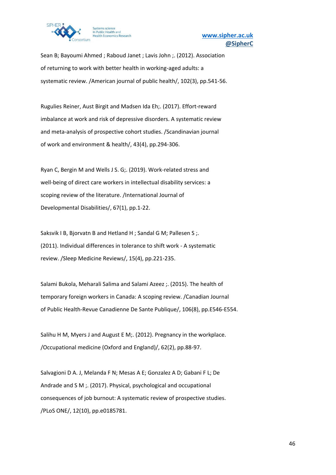

Sean B; Bayoumi Ahmed ; Raboud Janet ; Lavis John ;. (2012). Association of returning to work with better health in working-aged adults: a systematic review. /American journal of public health/, 102(3), pp.541-56.

Rugulies Reiner, Aust Birgit and Madsen Ida Eh;. (2017). Effort-reward imbalance at work and risk of depressive disorders. A systematic review and meta-analysis of prospective cohort studies. /Scandinavian journal of work and environment & health/, 43(4), pp.294-306.

Ryan C, Bergin M and Wells J S. G;. (2019). Work-related stress and well-being of direct care workers in intellectual disability services: a scoping review of the literature. /International Journal of Developmental Disabilities/, 67(1), pp.1-22.

Saksvik I B, Bjorvatn B and Hetland H ; Sandal G M; Pallesen S ;. (2011). Individual differences in tolerance to shift work - A systematic review. /Sleep Medicine Reviews/, 15(4), pp.221-235.

Salami Bukola, Meharali Salima and Salami Azeez ;. (2015). The health of temporary foreign workers in Canada: A scoping review. /Canadian Journal of Public Health-Revue Canadienne De Sante Publique/, 106(8), pp.E546-E554.

Salihu H M, Myers J and August E M;. (2012). Pregnancy in the workplace. /Occupational medicine (Oxford and England)/, 62(2), pp.88-97.

Salvagioni D A. J, Melanda F N; Mesas A E; Gonzalez A D; Gabani F L; De Andrade and S M ;. (2017). Physical, psychological and occupational consequences of job burnout: A systematic review of prospective studies. /PLoS ONE/, 12(10), pp.e0185781.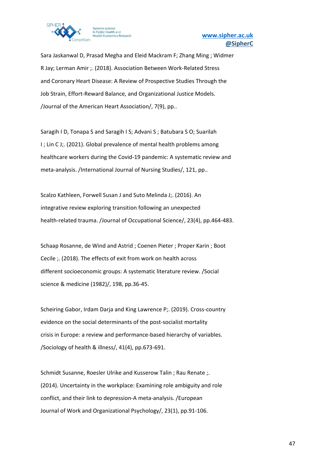

Sara Jaskanwal D, Prasad Megha and Eleid Mackram F; Zhang Ming ; Widmer R Jay; Lerman Amir ;. (2018). Association Between Work-Related Stress and Coronary Heart Disease: A Review of Prospective Studies Through the Job Strain, Effort-Reward Balance, and Organizational Justice Models. /Journal of the American Heart Association/, 7(9), pp..

Saragih I D, Tonapa S and Saragih I S; Advani S ; Batubara S O; Suarilah I ; Lin C J;. (2021). Global prevalence of mental health problems among healthcare workers during the Covid-19 pandemic: A systematic review and meta-analysis. /International Journal of Nursing Studies/, 121, pp..

Scalzo Kathleen, Forwell Susan J and Suto Melinda J;. (2016). An integrative review exploring transition following an unexpected health-related trauma. /Journal of Occupational Science/, 23(4), pp.464-483.

Schaap Rosanne, de Wind and Astrid ; Coenen Pieter ; Proper Karin ; Boot Cecile ;. (2018). The effects of exit from work on health across different socioeconomic groups: A systematic literature review. /Social science & medicine (1982)/, 198, pp.36-45.

Scheiring Gabor, Irdam Darja and King Lawrence P;. (2019). Cross-country evidence on the social determinants of the post-socialist mortality crisis in Europe: a review and performance-based hierarchy of variables. /Sociology of health & illness/, 41(4), pp.673-691.

Schmidt Susanne, Roesler Ulrike and Kusserow Talin ; Rau Renate ;. (2014). Uncertainty in the workplace: Examining role ambiguity and role conflict, and their link to depression-A meta-analysis. /European Journal of Work and Organizational Psychology/, 23(1), pp.91-106.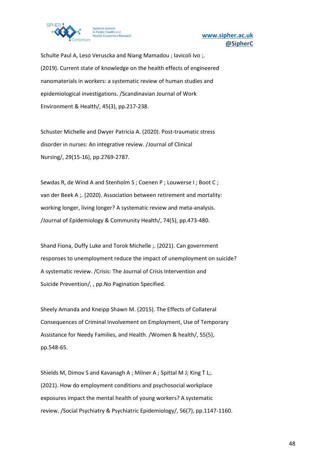

Schulte Paul A, Leso Veruscka and Niang Mamadou ; Iavicoli Ivo ;. (2019). Current state of knowledge on the health effects of engineered nanomaterials in workers: a systematic review of human studies and epidemiological investigations. /Scandinavian Journal of Work Environment & Health/, 45(3), pp.217-238.

Schuster Michelle and Dwyer Patricia A. (2020). Post-traumatic stress disorder in nurses: An integrative review. /Journal of Clinical Nursing/, 29(15-16), pp.2769-2787.

Sewdas R, de Wind A and Stenholm S ; Coenen P ; Louwerse I ; Boot C ; van der Beek A ;. (2020). Association between retirement and mortality: working longer, living longer? A systematic review and meta-analysis. /Journal of Epidemiology & Community Health/, 74(5), pp.473-480.

Shand Fiona, Duffy Luke and Torok Michelle ;. (2021). Can government responses to unemployment reduce the impact of unemployment on suicide? A systematic review. /Crisis: The Journal of Crisis Intervention and Suicide Prevention/, , pp.No Pagination Specified.

Sheely Amanda and Kneipp Shawn M. (2015). The Effects of Collateral Consequences of Criminal Involvement on Employment, Use of Temporary Assistance for Needy Families, and Health. /Women & health/, 55(5), pp.548-65.

Shields M, Dimov S and Kavanagh A ; Milner A ; Spittal M J; King T L;. (2021). How do employment conditions and psychosocial workplace exposures impact the mental health of young workers? A systematic review. /Social Psychiatry & Psychiatric Epidemiology/, 56(7), pp.1147-1160.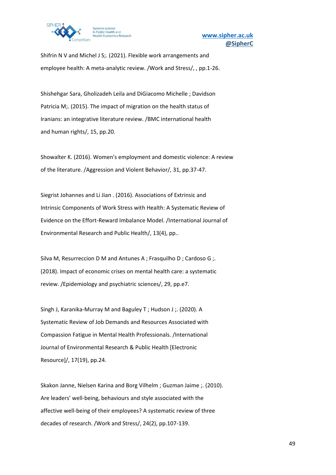

Shifrin N V and Michel J S;. (2021). Flexible work arrangements and employee health: A meta-analytic review. /Work and Stress/, , pp.1-26.

Shishehgar Sara, Gholizadeh Leila and DiGiacomo Michelle ; Davidson Patricia M;. (2015). The impact of migration on the health status of Iranians: an integrative literature review. /BMC international health and human rights/, 15, pp.20.

Showalter K. (2016). Women's employment and domestic violence: A review of the literature. /Aggression and Violent Behavior/, 31, pp.37-47.

Siegrist Johannes and Li Jian . (2016). Associations of Extrinsic and Intrinsic Components of Work Stress with Health: A Systematic Review of Evidence on the Effort-Reward Imbalance Model. /International Journal of Environmental Research and Public Health/, 13(4), pp..

Silva M, Resurreccion D M and Antunes A ; Frasquilho D ; Cardoso G ;. (2018). Impact of economic crises on mental health care: a systematic review. /Epidemiology and psychiatric sciences/, 29, pp.e7.

Singh J, Karanika-Murray M and Baguley T ; Hudson J ;. (2020). A Systematic Review of Job Demands and Resources Associated with Compassion Fatigue in Mental Health Professionals. /International Journal of Environmental Research & Public Health [Electronic Resource]/, 17(19), pp.24.

Skakon Janne, Nielsen Karina and Borg Vilhelm ; Guzman Jaime ;. (2010). Are leaders' well-being, behaviours and style associated with the affective well-being of their employees? A systematic review of three decades of research. /Work and Stress/, 24(2), pp.107-139.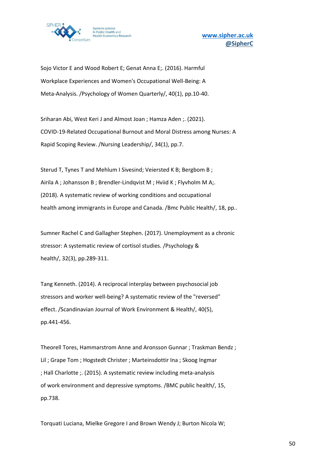

Sojo Victor E and Wood Robert E; Genat Anna E;. (2016). Harmful Workplace Experiences and Women's Occupational Well-Being: A Meta-Analysis. /Psychology of Women Quarterly/, 40(1), pp.10-40.

Sriharan Abi, West Keri J and Almost Joan ; Hamza Aden ;. (2021). COVID-19-Related Occupational Burnout and Moral Distress among Nurses: A Rapid Scoping Review. /Nursing Leadership/, 34(1), pp.7.

Sterud T, Tynes T and Mehlum I Sivesind; Veiersted K B; Bergbom B ; Airila A ; Johansson B ; Brendler-Lindqvist M ; Hviid K ; Flyvholm M A;. (2018). A systematic review of working conditions and occupational health among immigrants in Europe and Canada. /Bmc Public Health/, 18, pp..

Sumner Rachel C and Gallagher Stephen. (2017). Unemployment as a chronic stressor: A systematic review of cortisol studies. /Psychology & health/, 32(3), pp.289-311.

Tang Kenneth. (2014). A reciprocal interplay between psychosocial job stressors and worker well-being? A systematic review of the "reversed" effect. /Scandinavian Journal of Work Environment & Health/, 40(5), pp.441-456.

Theorell Tores, Hammarstrom Anne and Aronsson Gunnar ; Traskman Bendz ; Lil ; Grape Tom ; Hogstedt Christer ; Marteinsdottir Ina ; Skoog Ingmar ; Hall Charlotte ;. (2015). A systematic review including meta-analysis of work environment and depressive symptoms. /BMC public health/, 15, pp.738.

Torquati Luciana, Mielke Gregore I and Brown Wendy J; Burton Nicola W;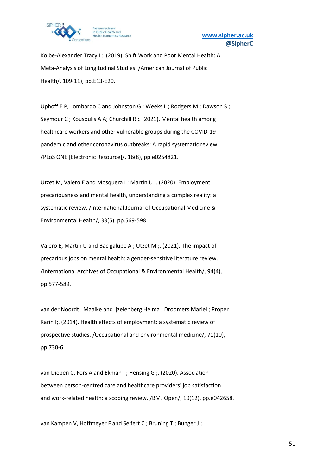

Kolbe-Alexander Tracy L;. (2019). Shift Work and Poor Mental Health: A Meta-Analysis of Longitudinal Studies. /American Journal of Public Health/, 109(11), pp.E13-E20.

Uphoff E P, Lombardo C and Johnston G ; Weeks L ; Rodgers M ; Dawson S ; Seymour C ; Kousoulis A A; Churchill R ;. (2021). Mental health among healthcare workers and other vulnerable groups during the COVID-19 pandemic and other coronavirus outbreaks: A rapid systematic review. /PLoS ONE [Electronic Resource]/, 16(8), pp.e0254821.

Utzet M, Valero E and Mosquera I ; Martin U ;. (2020). Employment precariousness and mental health, understanding a complex reality: a systematic review. /International Journal of Occupational Medicine & Environmental Health/, 33(5), pp.569-598.

Valero E, Martin U and Bacigalupe A ; Utzet M ;. (2021). The impact of precarious jobs on mental health: a gender-sensitive literature review. /International Archives of Occupational & Environmental Health/, 94(4), pp.577-589.

van der Noordt , Maaike and Ijzelenberg Helma ; Droomers Mariel ; Proper Karin I;. (2014). Health effects of employment: a systematic review of prospective studies. /Occupational and environmental medicine/, 71(10), pp.730-6.

van Diepen C, Fors A and Ekman I ; Hensing G ;. (2020). Association between person-centred care and healthcare providers' job satisfaction and work-related health: a scoping review. /BMJ Open/, 10(12), pp.e042658.

van Kampen V, Hoffmeyer F and Seifert C ; Bruning T ; Bunger J ;.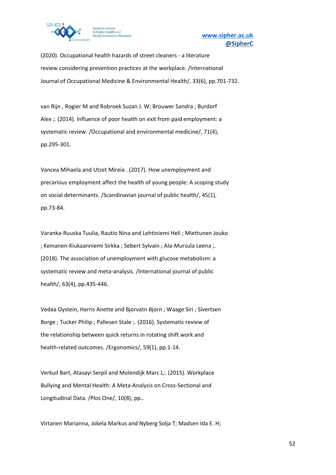

(2020). Occupational health hazards of street cleaners - a literature review considering prevention practices at the workplace. /International Journal of Occupational Medicine & Environmental Health/, 33(6), pp.701-732.

van Rijn , Rogier M and Robroek Suzan J. W; Brouwer Sandra ; Burdorf Alex ;. (2014). Influence of poor health on exit from paid employment: a systematic review. /Occupational and environmental medicine/, 71(4), pp.295-301.

Vancea Mihaela and Utzet Mireia . (2017). How unemployment and precarious employment affect the health of young people: A scoping study on social determinants. /Scandinavian journal of public health/, 45(1), pp.73-84.

Varanka-Ruuska Tuulia, Rautio Nina and Lehtiniemi Heli ; Miettunen Jouko ; Keinanen-Kiukaanniemi Sirkka ; Sebert Sylvain ; Ala-Mursula Leena ;. (2018). The association of unemployment with glucose metabolism: a systematic review and meta-analysis. /International journal of public health/, 63(4), pp.435-446.

Vedaa Oystein, Harris Anette and Bjorvatn Bjorn ; Waage Siri ; Sivertsen Borge ; Tucker Philip ; Pallesen Stale ;. (2016). Systematic review of the relationship between quick returns in rotating shift work and health-related outcomes. /Ergonomics/, 59(1), pp.1-14.

Verkuil Bart, Atasayi Serpil and Molendijk Marc L;. (2015). Workplace Bullying and Mental Health: A Meta-Analysis on Cross-Sectional and Longitudinal Data. /Plos One/, 10(8), pp..

Virtanen Marianna, Jokela Markus and Nyberg Solja T; Madsen Ida E. H;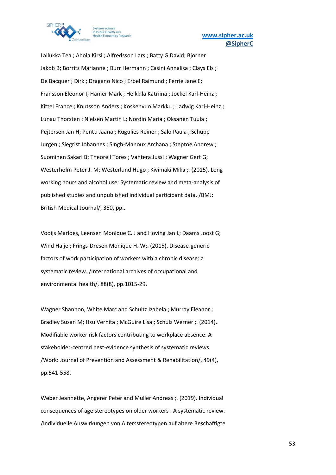

Lallukka Tea ; Ahola Kirsi ; Alfredsson Lars ; Batty G David; Bjorner Jakob B; Borritz Marianne ; Burr Hermann ; Casini Annalisa ; Clays Els ; De Bacquer ; Dirk ; Dragano Nico ; Erbel Raimund ; Ferrie Jane E; Fransson Eleonor I; Hamer Mark ; Heikkila Katriina ; Jockel Karl-Heinz ; Kittel France ; Knutsson Anders ; Koskenvuo Markku ; Ladwig Karl-Heinz ; Lunau Thorsten ; Nielsen Martin L; Nordin Maria ; Oksanen Tuula ; Pejtersen Jan H; Pentti Jaana ; Rugulies Reiner ; Salo Paula ; Schupp Jurgen ; Siegrist Johannes ; Singh-Manoux Archana ; Steptoe Andrew ; Suominen Sakari B; Theorell Tores ; Vahtera Jussi ; Wagner Gert G; Westerholm Peter J. M; Westerlund Hugo ; Kivimaki Mika ;. (2015). Long working hours and alcohol use: Systematic review and meta-analysis of published studies and unpublished individual participant data. /BMJ: British Medical Journal/, 350, pp..

Vooijs Marloes, Leensen Monique C. J and Hoving Jan L; Daams Joost G; Wind Haije ; Frings-Dresen Monique H. W;. (2015). Disease-generic factors of work participation of workers with a chronic disease: a systematic review. /International archives of occupational and environmental health/, 88(8), pp.1015-29.

Wagner Shannon, White Marc and Schultz Izabela ; Murray Eleanor ; Bradley Susan M; Hsu Vernita ; McGuire Lisa ; Schulz Werner ;. (2014). Modifiable worker risk factors contributing to workplace absence: A stakeholder-centred best-evidence synthesis of systematic reviews. /Work: Journal of Prevention and Assessment & Rehabilitation/, 49(4), pp.541-558.

Weber Jeannette, Angerer Peter and Muller Andreas ;. (2019). Individual consequences of age stereotypes on older workers : A systematic review. /Individuelle Auswirkungen von Altersstereotypen auf altere Beschaftigte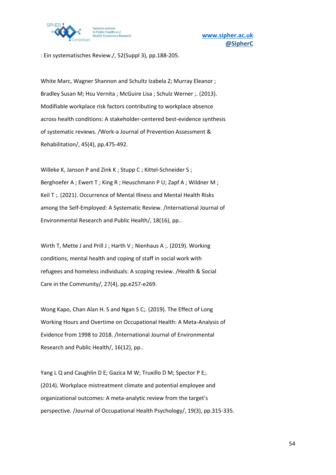

: Ein systematisches Review./, 52(Suppl 3), pp.188-205.

White Marc, Wagner Shannon and Schultz Izabela Z; Murray Eleanor ; Bradley Susan M; Hsu Vernita ; McGuire Lisa ; Schulz Werner ;. (2013). Modifiable workplace risk factors contributing to workplace absence across health conditions: A stakeholder-centered best-evidence synthesis of systematic reviews. /Work-a Journal of Prevention Assessment & Rehabilitation/, 45(4), pp.475-492.

Willeke K, Janson P and Zink K ; Stupp C ; Kittel-Schneider S ; Berghoefer A ; Ewert T ; King R ; Heuschmann P U; Zapf A ; Wildner M ; Keil T ;. (2021). Occurrence of Mental Illness and Mental Health Risks among the Self-Employed: A Systematic Review. /International Journal of Environmental Research and Public Health/, 18(16), pp..

Wirth T, Mette J and Prill J; Harth V; Nienhaus A; (2019). Working conditions, mental health and coping of staff in social work with refugees and homeless individuals: A scoping review. /Health & Social Care in the Community/, 27(4), pp.e257-e269.

Wong Kapo, Chan Alan H. S and Ngan S C;. (2019). The Effect of Long Working Hours and Overtime on Occupational Health: A Meta-Analysis of Evidence from 1998 to 2018. /International Journal of Environmental Research and Public Health/, 16(12), pp..

Yang L Q and Caughlin D E; Gazica M W; Truxillo D M; Spector P E;. (2014). Workplace mistreatment climate and potential employee and organizational outcomes: A meta-analytic review from the target's perspective. /Journal of Occupational Health Psychology/, 19(3), pp.315-335.